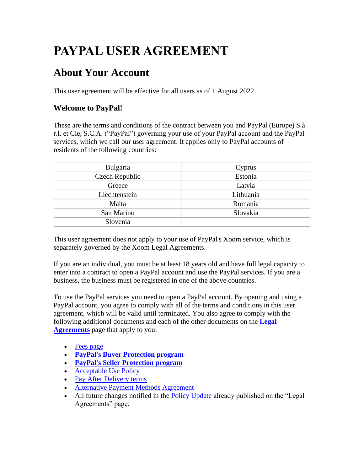# **PAYPAL USER AGREEMENT**

## **About Your Account**

This user agreement will be effective for all users as of 1 August 2022.

## **Welcome to PayPal!**

These are the terms and conditions of the contract between you and PayPal (Europe) S.à r.l. et Cie, S.C.A. ("PayPal") governing your use of your PayPal account and the PayPal services, which we call our user agreement. It applies only to PayPal accounts of residents of the following countries:

| Bulgaria       | Cyprus    |
|----------------|-----------|
| Czech Republic | Estonia   |
| Greece         | Latvia    |
| Liechtenstein  | Lithuania |
| Malta          | Romania   |
| San Marino     | Slovakia  |
| Slovenia       |           |

This user agreement does not apply to your use of PayPal's Xoom service, which is separately governed by the Xoom Legal Agreements.

If you are an individual, you must be at least 18 years old and have full legal capacity to enter into a contract to open a PayPal account and use the PayPal services. If you are a business, the business must be registered in one of the above countries.

To use the PayPal services you need to open a PayPal account. By opening and using a PayPal account, you agree to comply with all of the terms and conditions in this user agreement, which will be valid until terminated. You also agree to comply with the following additional documents and each of the other documents on the **[Legal](https://www.paypal.com/cz/webapps/mpp/ua/legalhub-full?locale.x=en_CZ)  [Agreements](https://www.paypal.com/cz/webapps/mpp/ua/legalhub-full?locale.x=en_CZ)** page that apply to you:

- [Fees page](#page-53-0)
- **[PayPal's Buyer Protection program](https://www.paypal.com/cz/webapps/mpp/ua/buyer-protection?locale.x=en_CZ)**
- **[PayPal's Seller Protection program](https://www.paypal.com/cz/webapps/mpp/ua/seller-protection?locale.x=en_CZ)**
- [Acceptable Use Policy](https://www.paypal.com/cz/webapps/mpp/ua/acceptableuse-full?locale.x=en_CZ)
- [Pay After Delivery](https://www.paypal.com/cz/webapps/mpp/pay-after-delivery-terms?locale.x=en_CZ) terms
- [Alternative Payment Methods Agreement](https://www.paypal.com/cz/webapps/mpp/ua/apm-tnc?locale.x=en_CZ)
- All future changes notified in the [Policy Update](https://www.paypal.com/cz/webapps/mpp/ua/upcoming-policies-full?locale.x=en_CZ) already published on the "Legal" Agreements" page.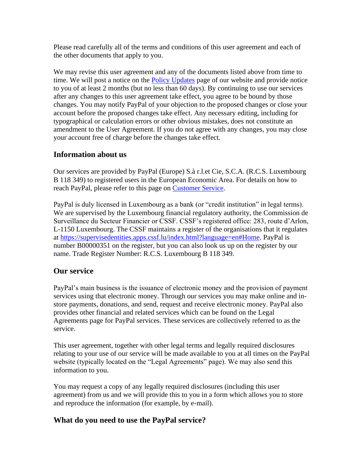Please read carefully all of the terms and conditions of this user agreement and each of the other documents that apply to you.

We may revise this user agreement and any of the documents listed above from time to time. We will post a notice on the **Policy Updates** page of our website and provide notice to you of at least 2 months (but no less than 60 days). By continuing to use our services after any changes to this user agreement take effect, you agree to be bound by those changes. You may notify PayPal of your objection to the proposed changes or close your account before the proposed changes take effect. Any necessary editing, including for typographical or calculation errors or other obvious mistakes, does not constitute an amendment to the User Agreement. If you do not agree with any changes, you may close your account free of charge before the changes take effect.

## **Information about us**

Our services are provided by PayPal (Europe) S.à r.l.et Cie, S.C.A. (R.C.S. Luxembourg B 118 349) to registered users in the European Economic Area. For details on how to reach PayPal, please refer to this page on [Customer Service.](https://www.paypal.com/cz/smarthelp/home?locale.x=en_CZ)

PayPal is duly licensed in Luxembourg as a bank (or "credit institution" in legal terms). We are supervised by the Luxembourg financial regulatory authority, the Commission de Surveillance du Secteur Financier or CSSF. CSSF's registered office: 283, route d'Arlon, L-1150 Luxembourg. The CSSF maintains a register of the organisations that it regulates at [https://supervisedentities.apps.cssf.lu/index.html?language=en#Home.](https://supervisedentities.apps.cssf.lu/index.html?language=en#Home) PayPal is number B00000351 on the register, but you can also look us up on the register by our name. Trade Register Number: R.C.S. Luxembourg B 118 349.

## **Our service**

PayPal's main business is the issuance of electronic money and the provision of payment services using that electronic money. Through our services you may make online and instore payments, donations, and send, request and receive electronic money. PayPal also provides other financial and related services which can be found on the Legal Agreements page for PayPal services. These services are collectively referred to as the service.

This user agreement, together with other legal terms and legally required disclosures relating to your use of our service will be made available to you at all times on the PayPal website (typically located on the "Legal Agreements" page). We may also send this information to you.

You may request a copy of any legally required disclosures (including this user agreement) from us and we will provide this to you in a form which allows you to store and reproduce the information (for example, by e-mail).

## **What do you need to use the PayPal service?**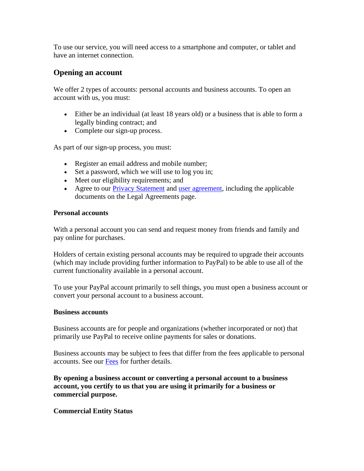To use our service, you will need access to a smartphone and computer, or tablet and have an internet connection.

#### **Opening an account**

We offer 2 types of accounts: personal accounts and business accounts. To open an account with us, you must:

- Either be an individual (at least 18 years old) or a business that is able to form a legally binding contract; and
- Complete our sign-up process.

As part of our sign-up process, you must:

- Register an email address and mobile number;
- Set a password, which we will use to log you in;
- Meet our eligibility requirements; and
- Agree to our [Privacy Statement](https://www.paypal.com/cz/webapps/mpp/ua/privacy-full?locale.x=en_CZ) and [user agreement,](https://www.paypal.com/cz/webapps/mpp/ua/useragreement-full?locale.x=en_CZ) including the applicable documents on the Legal Agreements page.

#### **Personal accounts**

With a personal account you can send and request money from friends and family and pay online for purchases.

Holders of certain existing personal accounts may be required to upgrade their accounts (which may include providing further information to PayPal) to be able to use all of the current functionality available in a personal account.

To use your PayPal account primarily to sell things, you must open a business account or convert your personal account to a business account.

#### **Business accounts**

Business accounts are for people and organizations (whether incorporated or not) that primarily use PayPal to receive online payments for sales or donations.

Business accounts may be subject to fees that differ from the fees applicable to personal accounts. See our [Fees](#page-53-0) for further details.

**By opening a business account or converting a personal account to a business account, you certify to us that you are using it primarily for a business or commercial purpose.**

#### **Commercial Entity Status**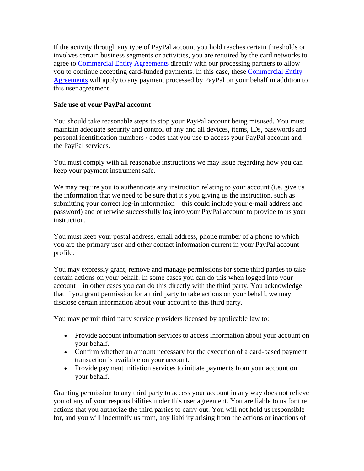If the activity through any type of PayPal account you hold reaches certain thresholds or involves certain business segments or activities, you are required by the card networks to agree to [Commercial Entity Agreements](https://www.paypal.com/cz/webapps/mpp/ua/ceagreement-full?locale.x=en_CZ) directly with our processing partners to allow you to continue accepting card-funded payments. In this case, these [Commercial Entity](https://www.paypal.com/cz/webapps/mpp/ua/ceagreement-full?locale.x=en_CZ)  [Agreements](https://www.paypal.com/cz/webapps/mpp/ua/ceagreement-full?locale.x=en_CZ) will apply to any payment processed by PayPal on your behalf in addition to this user agreement.

#### **Safe use of your PayPal account**

You should take reasonable steps to stop your PayPal account being misused. You must maintain adequate security and control of any and all devices, items, IDs, passwords and personal identification numbers / codes that you use to access your PayPal account and the PayPal services.

You must comply with all reasonable instructions we may issue regarding how you can keep your payment instrument safe.

We may require you to authenticate any instruction relating to your account (i.e. give us the information that we need to be sure that it's you giving us the instruction, such as submitting your correct log-in information – this could include your e-mail address and password) and otherwise successfully log into your PayPal account to provide to us your instruction.

You must keep your postal address, email address, phone number of a phone to which you are the primary user and other contact information current in your PayPal account profile.

You may expressly grant, remove and manage permissions for some third parties to take certain actions on your behalf. In some cases you can do this when logged into your account – in other cases you can do this directly with the third party. You acknowledge that if you grant permission for a third party to take actions on your behalf, we may disclose certain information about your account to this third party.

You may permit third party service providers licensed by applicable law to:

- Provide account information services to access information about your account on your behalf.
- Confirm whether an amount necessary for the execution of a card-based payment transaction is available on your account.
- Provide payment initiation services to initiate payments from your account on your behalf.

Granting permission to any third party to access your account in any way does not relieve you of any of your responsibilities under this user agreement. You are liable to us for the actions that you authorize the third parties to carry out. You will not hold us responsible for, and you will indemnify us from, any liability arising from the actions or inactions of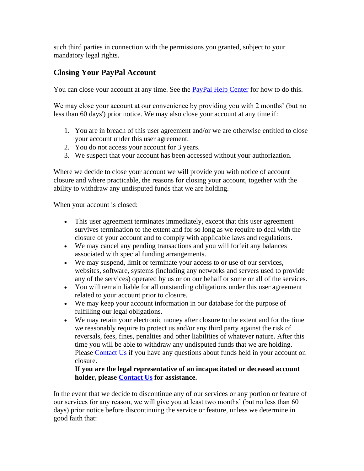such third parties in connection with the permissions you granted, subject to your mandatory legal rights.

## <span id="page-4-0"></span>**Closing Your PayPal Account**

You can close your account at any time. See the **PayPal Help Center** for how to do this.

We may close your account at our convenience by providing you with 2 months' (but no less than 60 days') prior notice. We may also close your account at any time if:

- 1. You are in breach of this user agreement and/or we are otherwise entitled to close your account under this user agreement.
- 2. You do not access your account for 3 years.
- 3. We suspect that your account has been accessed without your authorization.

Where we decide to close your account we will provide you with notice of account closure and where practicable, the reasons for closing your account, together with the ability to withdraw any undisputed funds that we are holding.

When your account is closed:

- This user agreement terminates immediately, except that this user agreement survives termination to the extent and for so long as we require to deal with the closure of your account and to comply with applicable laws and regulations.
- We may cancel any pending transactions and you will forfeit any balances associated with special funding arrangements.
- We may suspend, limit or terminate your access to or use of our services, websites, software, systems (including any networks and servers used to provide any of the services) operated by us or on our behalf or some or all of the services.
- You will remain liable for all outstanding obligations under this user agreement related to your account prior to closure.
- We may keep your account information in our database for the purpose of fulfilling our legal obligations.
- We may retain your electronic money after closure to the extent and for the time we reasonably require to protect us and/or any third party against the risk of reversals, fees, fines, penalties and other liabilities of whatever nature. After this time you will be able to withdraw any undisputed funds that we are holding. Please [Contact Us](https://www.paypal.com/cz/selfhelp/home?locale.x=en_CZ) if you have any questions about funds held in your account on closure.

#### **If you are the legal representative of an incapacitated or deceased account holder, please [Contact Us](https://www.paypal.com/cz/selfhelp/home?locale.x=en_CZ) for assistance.**

In the event that we decide to discontinue any of our services or any portion or feature of our services for any reason, we will give you at least two months' (but no less than 60 days) prior notice before discontinuing the service or feature, unless we determine in good faith that: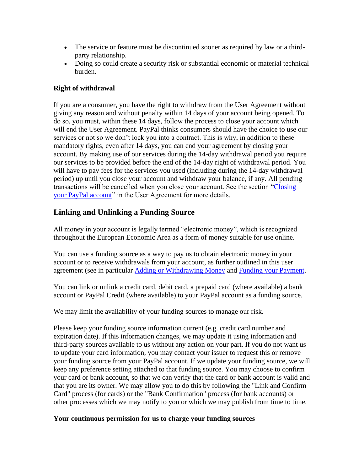- The service or feature must be discontinued sooner as required by law or a thirdparty relationship.
- Doing so could create a security risk or substantial economic or material technical burden.

#### **Right of withdrawal**

If you are a consumer, you have the right to withdraw from the User Agreement without giving any reason and without penalty within 14 days of your account being opened. To do so, you must, within these 14 days, follow the process to close your account which will end the User Agreement. PayPal thinks consumers should have the choice to use our services or not so we don't lock you into a contract. This is why, in addition to these mandatory rights, even after 14 days, you can end your agreement by closing your account. By making use of our services during the 14-day withdrawal period you require our services to be provided before the end of the 14-day right of withdrawal period. You will have to pay fees for the services you used (including during the 14-day withdrawal period) up until you close your account and withdraw your balance, if any. All pending transactions will be cancelled when you close your account. See the section ["Closing](#page-4-0) [your PayPal account"](#page-4-0) in the User Agreement for more details.

## **Linking and Unlinking a Funding Source**

All money in your account is legally termed "electronic money", which is recognized throughout the European Economic Area as a form of money suitable for use online.

You can use a funding source as a way to pay us to obtain electronic money in your account or to receive withdrawals from your account, as further outlined in this user agreement (see in particular [Adding or Withdrawing Money](#page-8-0) and [Funding your Payment.](#page-18-0)

You can link or unlink a credit card, debit card, a prepaid card (where available) a bank account or PayPal Credit (where available) to your PayPal account as a funding source.

We may limit the availability of your funding sources to manage our risk.

Please keep your funding source information current (e.g. credit card number and expiration date). If this information changes, we may update it using information and third-party sources available to us without any action on your part. If you do not want us to update your card information, you may contact your issuer to request this or remove your funding source from your PayPal account. If we update your funding source, we will keep any preference setting attached to that funding source. You may choose to confirm your card or bank account, so that we can verify that the card or bank account is valid and that you are its owner. We may allow you to do this by following the "Link and Confirm Card" process (for cards) or the "Bank Confirmation" process (for bank accounts) or other processes which we may notify to you or which we may publish from time to time.

#### **Your continuous permission for us to charge your funding sources**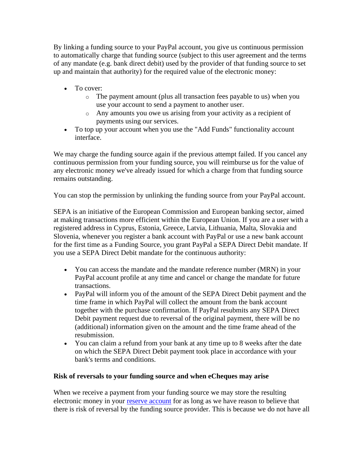By linking a funding source to your PayPal account, you give us continuous permission to automatically charge that funding source (subject to this user agreement and the terms of any mandate (e.g. bank direct debit) used by the provider of that funding source to set up and maintain that authority) for the required value of the electronic money:

- To cover:
	- o The payment amount (plus all transaction fees payable to us) when you use your account to send a payment to another user.
	- o Any amounts you owe us arising from your activity as a recipient of payments using our services.
- To top up your account when you use the "Add Funds" functionality account interface.

We may charge the funding source again if the previous attempt failed. If you cancel any continuous permission from your funding source, you will reimburse us for the value of any electronic money we've already issued for which a charge from that funding source remains outstanding.

You can stop the permission by unlinking the funding source from your PayPal account.

SEPA is an initiative of the European Commission and European banking sector, aimed at making transactions more efficient within the European Union. If you are a user with a registered address in Cyprus, Estonia, Greece, Latvia, Lithuania, Malta, Slovakia and Slovenia, whenever you register a bank account with PayPal or use a new bank account for the first time as a Funding Source, you grant PayPal a SEPA Direct Debit mandate. If you use a SEPA Direct Debit mandate for the continuous authority:

- You can access the mandate and the mandate reference number (MRN) in your PayPal account profile at any time and cancel or change the mandate for future transactions.
- PayPal will inform you of the amount of the SEPA Direct Debit payment and the time frame in which PayPal will collect the amount from the bank account together with the purchase confirmation. If PayPal resubmits any SEPA Direct Debit payment request due to reversal of the original payment, there will be no (additional) information given on the amount and the time frame ahead of the resubmission.
- You can claim a refund from your bank at any time up to 8 weeks after the date on which the SEPA Direct Debit payment took place in accordance with your bank's terms and conditions.

#### **Risk of reversals to your funding source and when eCheques may arise**

When we receive a payment from your funding source we may store the resulting electronic money in your [reserve account](#page-33-0) for as long as we have reason to believe that there is risk of reversal by the funding source provider. This is because we do not have all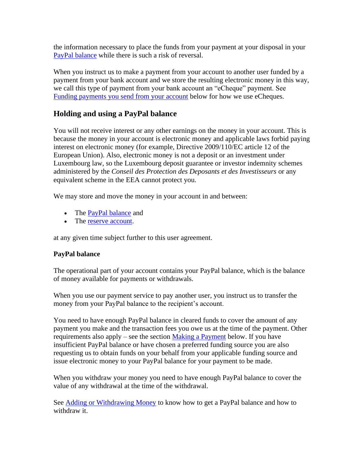the information necessary to place the funds from your payment at your disposal in your [PayPal balance](#page-7-0) while there is such a risk of reversal.

When you instruct us to make a payment from your account to another user funded by a payment from your bank account and we store the resulting electronic money in this way, we call this type of payment from your bank account an "eCheque" payment. See [Funding payments you send from your account](#page-18-0) below for how we use eCheques.

## <span id="page-7-0"></span>**Holding and using a PayPal balance**

You will not receive interest or any other earnings on the money in your account. This is because the money in your account is electronic money and applicable laws forbid paying interest on electronic money (for example, Directive 2009/110/EC article 12 of the European Union). Also, electronic money is not a deposit or an investment under Luxembourg law, so the Luxembourg deposit guarantee or investor indemnity schemes administered by the *Conseil des Protection des Deposants et des Investisseurs* or any equivalent scheme in the EEA cannot protect you.

We may store and move the money in your account in and between:

- The [PayPal balance](#page-7-0) and
- The [reserve account.](#page-33-0)

at any given time subject further to this user agreement.

#### **PayPal balance**

The operational part of your account contains your PayPal balance, which is the balance of money available for payments or withdrawals.

When you use our payment service to pay another user, you instruct us to transfer the money from your PayPal balance to the recipient's account.

You need to have enough PayPal balance in cleared funds to cover the amount of any payment you make and the transaction fees you owe us at the time of the payment. Other requirements also apply – see the section [Making a Payment](#page-14-0) below. If you have insufficient PayPal balance or have chosen a preferred funding source you are also requesting us to obtain funds on your behalf from your applicable funding source and issue electronic money to your PayPal balance for your payment to be made.

When you withdraw your money you need to have enough PayPal balance to cover the value of any withdrawal at the time of the withdrawal.

See [Adding or Withdrawing Money](#page-8-0) to know how to get a PayPal balance and how to withdraw it.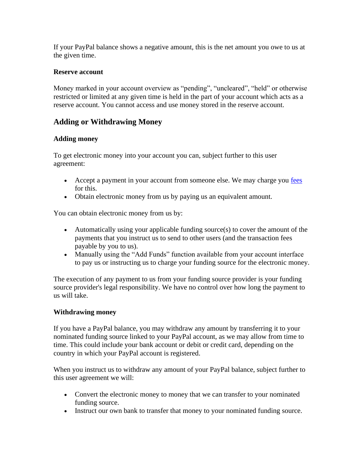If your PayPal balance shows a negative amount, this is the net amount you owe to us at the given time.

#### **Reserve account**

Money marked in your account overview as "pending", "uncleared", "held" or otherwise restricted or limited at any given time is held in the part of your account which acts as a reserve account. You cannot access and use money stored in the reserve account.

## <span id="page-8-0"></span>**Adding or Withdrawing Money**

#### **Adding money**

To get electronic money into your account you can, subject further to this user agreement:

- Accept a payment in your account from someone else. We may charge you [fees](#page-53-0) for this.
- Obtain electronic money from us by paying us an equivalent amount.

You can obtain electronic money from us by:

- Automatically using your applicable funding source(s) to cover the amount of the payments that you instruct us to send to other users (and the transaction fees payable by you to us).
- Manually using the "Add Funds" function available from your account interface to pay us or instructing us to charge your funding source for the electronic money.

The execution of any payment to us from your funding source provider is your funding source provider's legal responsibility. We have no control over how long the payment to us will take.

#### **Withdrawing money**

If you have a PayPal balance, you may withdraw any amount by transferring it to your nominated funding source linked to your PayPal account, as we may allow from time to time. This could include your bank account or debit or credit card, depending on the country in which your PayPal account is registered.

When you instruct us to withdraw any amount of your PayPal balance, subject further to this user agreement we will:

- Convert the electronic money to money that we can transfer to your nominated funding source.
- Instruct our own bank to transfer that money to your nominated funding source.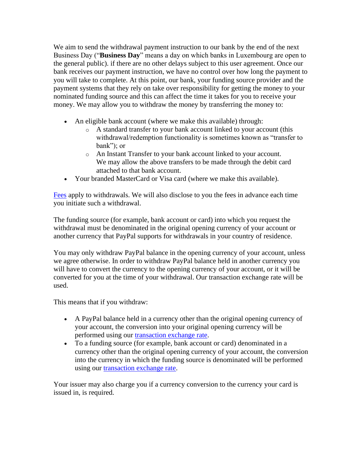We aim to send the withdrawal payment instruction to our bank by the end of the next Business Day ("**Business Day**" means a day on which banks in Luxembourg are open to the general public). if there are no other delays subject to this user agreement. Once our bank receives our payment instruction, we have no control over how long the payment to you will take to complete. At this point, our bank, your funding source provider and the payment systems that they rely on take over responsibility for getting the money to your nominated funding source and this can affect the time it takes for you to receive your money. We may allow you to withdraw the money by transferring the money to:

- An eligible bank account (where we make this available) through:
	- o A standard transfer to your bank account linked to your account (this withdrawal/redemption functionality is sometimes known as "transfer to bank"); or
	- o An Instant Transfer to your bank account linked to your account. We may allow the above transfers to be made through the debit card attached to that bank account.
- Your branded MasterCard or Visa card (where we make this available).

[Fees](#page-53-0) apply to withdrawals. We will also disclose to you the fees in advance each time you initiate such a withdrawal.

The funding source (for example, bank account or card) into which you request the withdrawal must be denominated in the original opening currency of your account or another currency that PayPal supports for withdrawals in your country of residence.

You may only withdraw PayPal balance in the opening currency of your account, unless we agree otherwise. In order to withdraw PayPal balance held in another currency you will have to convert the currency to the opening currency of your account, or it will be converted for you at the time of your withdrawal. Our transaction exchange rate will be used.

This means that if you withdraw:

- A PayPal balance held in a currency other than the original opening currency of your account, the conversion into your original opening currency will be performed using our [transaction exchange rate.](https://www.paypal.com/cz/webapps/mpp/paypal-fees?locale.x=en_CZ)
- To a funding source (for example, bank account or card) denominated in a currency other than the original opening currency of your account, the conversion into the currency in which the funding source is denominated will be performed using our [transaction exchange rate.](https://www.paypal.com/cz/webapps/mpp/paypal-fees?locale.x=en_CZ)

Your issuer may also charge you if a currency conversion to the currency your card is issued in, is required.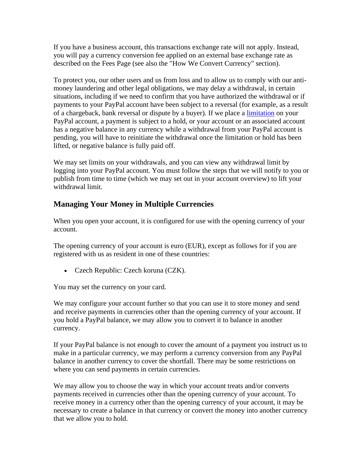If you have a business account, this transactions exchange rate will not apply. Instead, you will pay a currency conversion fee applied on an external base exchange rate as described on the Fees Page (see also the "How We Convert Currency" section).

To protect you, our other users and us from loss and to allow us to comply with our antimoney laundering and other legal obligations, we may delay a withdrawal, in certain situations, including if we need to confirm that you have authorized the withdrawal or if payments to your PayPal account have been subject to a reversal (for example, as a result of a chargeback, bank reversal or dispute by a buyer). If we place a [limitation](#page-33-0) on your PayPal account, a payment is subject to a hold, or your account or an associated account has a negative balance in any currency while a withdrawal from your PayPal account is pending, you will have to reinitiate the withdrawal once the limitation or hold has been lifted, or negative balance is fully paid off.

We may set limits on your withdrawals, and you can view any withdrawal limit by logging into your PayPal account. You must follow the steps that we will notify to you or publish from time to time (which we may set out in your account overview) to lift your withdrawal limit.

## <span id="page-10-0"></span>**Managing Your Money in Multiple Currencies**

When you open your account, it is configured for use with the opening currency of your account.

The opening currency of your account is euro (EUR), except as follows for if you are registered with us as resident in one of these countries:

• Czech Republic: Czech koruna (CZK).

You may set the currency on your card.

We may configure your account further so that you can use it to store money and send and receive payments in currencies other than the opening currency of your account. If you hold a PayPal balance, we may allow you to convert it to balance in another currency.

If your PayPal balance is not enough to cover the amount of a payment you instruct us to make in a particular currency, we may perform a currency conversion from any PayPal balance in another currency to cover the shortfall. There may be some restrictions on where you can send payments in certain currencies.

We may allow you to choose the way in which your account treats and/or converts payments received in currencies other than the opening currency of your account. To receive money in a currency other than the opening currency of your account, it may be necessary to create a balance in that currency or convert the money into another currency that we allow you to hold.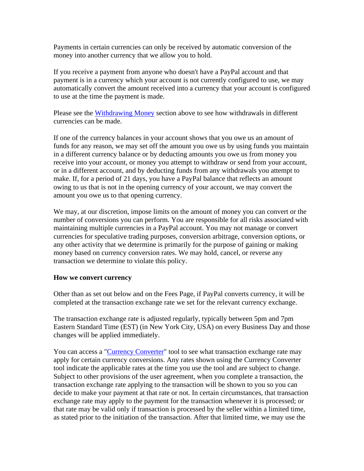Payments in certain currencies can only be received by automatic conversion of the money into another currency that we allow you to hold.

If you receive a payment from anyone who doesn't have a PayPal account and that payment is in a currency which your account is not currently configured to use, we may automatically convert the amount received into a currency that your account is configured to use at the time the payment is made.

Please see the [Withdrawing Money](#page-8-0) section above to see how withdrawals in different currencies can be made.

If one of the currency balances in your account shows that you owe us an amount of funds for any reason, we may set off the amount you owe us by using funds you maintain in a different currency balance or by deducting amounts you owe us from money you receive into your account, or money you attempt to withdraw or send from your account, or in a different account, and by deducting funds from any withdrawals you attempt to make. If, for a period of 21 days, you have a PayPal balance that reflects an amount owing to us that is not in the opening currency of your account, we may convert the amount you owe us to that opening currency.

We may, at our discretion, impose limits on the amount of money you can convert or the number of conversions you can perform. You are responsible for all risks associated with maintaining multiple currencies in a PayPal account. You may not manage or convert currencies for speculative trading purposes, conversion arbitrage, conversion options, or any other activity that we determine is primarily for the purpose of gaining or making money based on currency conversion rates. We may hold, cancel, or reverse any transaction we determine to violate this policy.

#### **How we convert currency**

Other than as set out below and on the Fees Page, if PayPal converts currency, it will be completed at the transaction exchange rate we set for the relevant currency exchange.

The transaction exchange rate is adjusted regularly, typically between 5pm and 7pm Eastern Standard Time (EST) (in New York City, USA) on every Business Day and those changes will be applied immediately.

You can access a "*Currency Converter*" tool to see what transaction exchange rate may apply for certain currency conversions. Any rates shown using the Currency Converter tool indicate the applicable rates at the time you use the tool and are subject to change. Subject to other provisions of the user agreement, when you complete a transaction, the transaction exchange rate applying to the transaction will be shown to you so you can decide to make your payment at that rate or not. In certain circumstances, that transaction exchange rate may apply to the payment for the transaction whenever it is processed; or that rate may be valid only if transaction is processed by the seller within a limited time, as stated prior to the initiation of the transaction. After that limited time, we may use the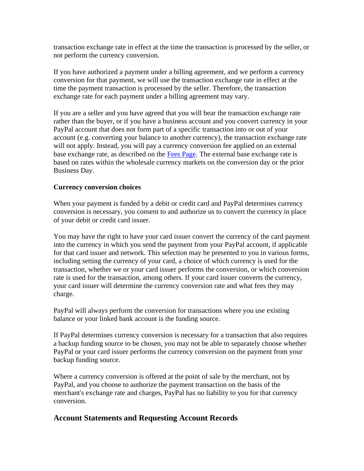transaction exchange rate in effect at the time the transaction is processed by the seller, or not perform the currency conversion.

If you have authorized a payment under a billing agreement, and we perform a currency conversion for that payment, we will use the transaction exchange rate in effect at the time the payment transaction is processed by the seller. Therefore, the transaction exchange rate for each payment under a billing agreement may vary.

If you are a seller and you have agreed that you will bear the transaction exchange rate rather than the buyer, or if you have a business account and you convert currency in your PayPal account that does not form part of a specific transaction into or out of your account (e.g. converting your balance to another currency), the transaction exchange rate will not apply. Instead, you will pay a currency conversion fee applied on an external base exchange rate, as described on the [Fees Page.](https://www.paypal.com/cz/webapps/mpp/paypal-fees?locale.x=en_CZ) The external base exchange rate is based on rates within the wholesale currency markets on the conversion day or the prior Business Day.

#### **Currency conversion choices**

When your payment is funded by a debit or credit card and PayPal determines currency conversion is necessary, you consent to and authorize us to convert the currency in place of your debit or credit card issuer.

You may have the right to have your card issuer convert the currency of the card payment into the currency in which you send the payment from your PayPal account, if applicable for that card issuer and network. This selection may be presented to you in various forms, including setting the currency of your card, a choice of which currency is used for the transaction, whether we or your card issuer performs the conversion, or which conversion rate is used for the transaction, among others. If your card issuer converts the currency, your card issuer will determine the currency conversion rate and what fees they may charge.

PayPal will always perform the conversion for transactions where you use existing balance or your linked bank account is the funding source.

If PayPal determines currency conversion is necessary for a transaction that also requires a backup funding source to be chosen, you may not be able to separately choose whether PayPal or your card issuer performs the currency conversion on the payment from your backup funding source.

Where a currency conversion is offered at the point of sale by the merchant, not by PayPal, and you choose to authorize the payment transaction on the basis of the merchant's exchange rate and charges, PayPal has no liability to you for that currency conversion.

#### **Account Statements and Requesting Account Records**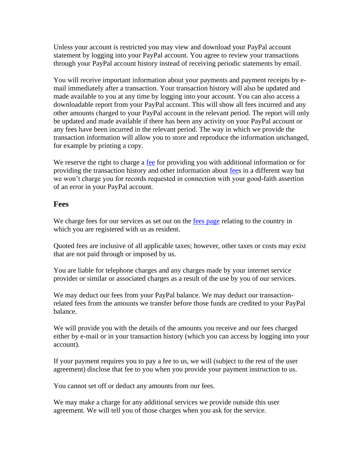Unless your account is restricted you may view and download your PayPal account statement by logging into your PayPal account. You agree to review your transactions through your PayPal account history instead of receiving periodic statements by email.

You will receive important information about your payments and payment receipts by email immediately after a transaction. Your transaction history will also be updated and made available to you at any time by logging into your account. You can also access a downloadable report from your PayPal account. This will show all fees incurred and any other amounts charged to your PayPal account in the relevant period. The report will only be updated and made available if there has been any activity on your PayPal account or any fees have been incurred in the relevant period. The way in which we provide the transaction information will allow you to store and reproduce the information unchanged, for example by printing a copy.

We reserve the right to charge a <u>fee</u> for providing you with additional information or for providing the transaction history and other information about [fees](#page-53-0) in a different way but we won't charge you for records requested in connection with your good-faith assertion of an error in your PayPal account.

#### **Fees**

We charge fees for our services as set out on the [fees page](#page-53-0) relating to the country in which you are registered with us as resident.

Quoted fees are inclusive of all applicable taxes; however, other taxes or costs may exist that are not paid through or imposed by us.

You are liable for telephone charges and any charges made by your internet service provider or similar or associated charges as a result of the use by you of our services.

We may deduct our fees from your PayPal balance. We may deduct our transactionrelated fees from the amounts we transfer before those funds are credited to your PayPal balance.

We will provide you with the details of the amounts you receive and our fees charged either by e-mail or in your transaction history (which you can access by logging into your account).

If your payment requires you to pay a fee to us, we will (subject to the rest of the user agreement) disclose that fee to you when you provide your payment instruction to us.

You cannot set off or deduct any amounts from our fees.

We may make a charge for any additional services we provide outside this user agreement. We will tell you of those charges when you ask for the service.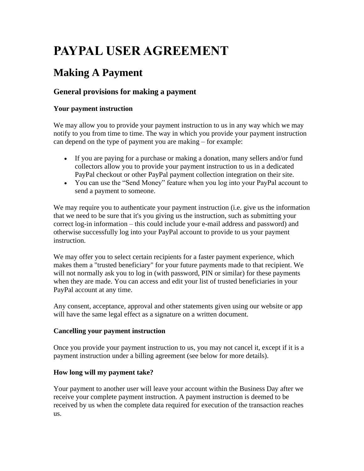# **PAYPAL USER AGREEMENT**

## <span id="page-14-0"></span>**Making A Payment**

## **General provisions for making a payment**

#### **Your payment instruction**

We may allow you to provide your payment instruction to us in any way which we may notify to you from time to time. The way in which you provide your payment instruction can depend on the type of payment you are making – for example:

- If you are paying for a purchase or making a donation, many sellers and/or fund collectors allow you to provide your payment instruction to us in a dedicated PayPal checkout or other PayPal payment collection integration on their site.
- You can use the "Send Money" feature when you log into your PayPal account to send a payment to someone.

We may require you to authenticate your payment instruction (i.e. give us the information that we need to be sure that it's you giving us the instruction, such as submitting your correct log-in information – this could include your e-mail address and password) and otherwise successfully log into your PayPal account to provide to us your payment instruction.

We may offer you to select certain recipients for a faster payment experience, which makes them a "trusted beneficiary" for your future payments made to that recipient. We will not normally ask you to log in (with password, PIN or similar) for these payments when they are made. You can access and edit your list of trusted beneficiaries in your PayPal account at any time.

Any consent, acceptance, approval and other statements given using our website or app will have the same legal effect as a signature on a written document.

#### **Cancelling your payment instruction**

Once you provide your payment instruction to us, you may not cancel it, except if it is a payment instruction under a billing agreement (see below for more details).

### **How long will my payment take?**

Your payment to another user will leave your account within the Business Day after we receive your complete payment instruction. A payment instruction is deemed to be received by us when the complete data required for execution of the transaction reaches us.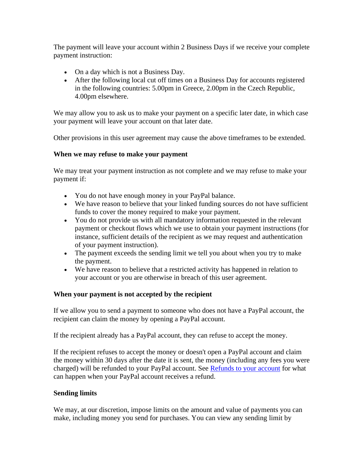The payment will leave your account within 2 Business Days if we receive your complete payment instruction:

- On a day which is not a Business Day.
- After the following local cut off times on a Business Day for accounts registered in the following countries: 5.00pm in Greece, 2.00pm in the Czech Republic, 4.00pm elsewhere.

We may allow you to ask us to make your payment on a specific later date, in which case your payment will leave your account on that later date.

Other provisions in this user agreement may cause the above timeframes to be extended.

#### **When we may refuse to make your payment**

We may treat your payment instruction as not complete and we may refuse to make your payment if:

- You do not have enough money in your PayPal balance.
- We have reason to believe that your linked funding sources do not have sufficient funds to cover the money required to make your payment.
- You do not provide us with all mandatory information requested in the relevant payment or checkout flows which we use to obtain your payment instructions (for instance, sufficient details of the recipient as we may request and authentication of your payment instruction).
- The payment exceeds the sending limit we tell you about when you try to make the payment.
- We have reason to believe that a restricted activity has happened in relation to your account or you are otherwise in breach of this user agreement.

#### **When your payment is not accepted by the recipient**

If we allow you to send a payment to someone who does not have a PayPal account, the recipient can claim the money by opening a PayPal account.

If the recipient already has a PayPal account, they can refuse to accept the money.

If the recipient refuses to accept the money or doesn't open a PayPal account and claim the money within 30 days after the date it is sent, the money (including any fees you were charged) will be refunded to your PayPal account. See [Refunds to your account](#page-17-0) for what can happen when your PayPal account receives a refund.

#### **Sending limits**

We may, at our discretion, impose limits on the amount and value of payments you can make, including money you send for purchases. You can view any sending limit by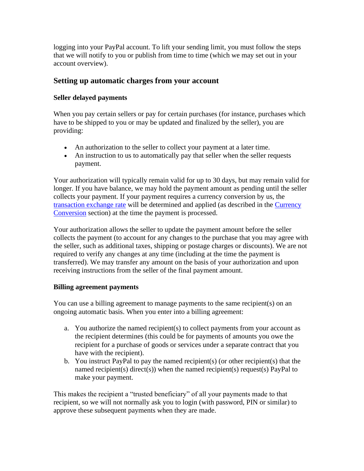logging into your PayPal account. To lift your sending limit, you must follow the steps that we will notify to you or publish from time to time (which we may set out in your account overview).

## **Setting up automatic charges from your account**

#### **Seller delayed payments**

When you pay certain sellers or pay for certain purchases (for instance, purchases which have to be shipped to you or may be updated and finalized by the seller), you are providing:

- An authorization to the seller to collect your payment at a later time.
- An instruction to us to automatically pay that seller when the seller requests payment.

Your authorization will typically remain valid for up to 30 days, but may remain valid for longer. If you have balance, we may hold the payment amount as pending until the seller collects your payment. If your payment requires a currency conversion by us, the [transaction exchange rate](https://www.paypal.com/cz/webapps/mpp/paypal-fees?locale.x=en_CZ) will be determined and applied (as described in the [Currency](#page-10-0)  [Conversion](#page-10-0) section) at the time the payment is processed.

Your authorization allows the seller to update the payment amount before the seller collects the payment (to account for any changes to the purchase that you may agree with the seller, such as additional taxes, shipping or postage charges or discounts). We are not required to verify any changes at any time (including at the time the payment is transferred). We may transfer any amount on the basis of your authorization and upon receiving instructions from the seller of the final payment amount.

#### **Billing agreement payments**

You can use a billing agreement to manage payments to the same recipient(s) on an ongoing automatic basis. When you enter into a billing agreement:

- a. You authorize the named recipient(s) to collect payments from your account as the recipient determines (this could be for payments of amounts you owe the recipient for a purchase of goods or services under a separate contract that you have with the recipient).
- b. You instruct PayPal to pay the named recipient(s) (or other recipient(s) that the named recipient(s) direct(s)) when the named recipient(s) request(s) PayPal to make your payment.

This makes the recipient a "trusted beneficiary" of all your payments made to that recipient, so we will not normally ask you to login (with password, PIN or similar) to approve these subsequent payments when they are made.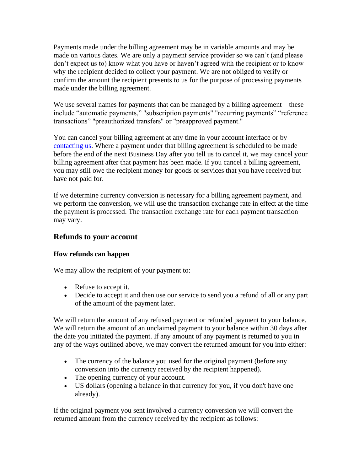Payments made under the billing agreement may be in variable amounts and may be made on various dates. We are only a payment service provider so we can't (and please don't expect us to) know what you have or haven't agreed with the recipient or to know why the recipient decided to collect your payment. We are not obliged to verify or confirm the amount the recipient presents to us for the purpose of processing payments made under the billing agreement.

We use several names for payments that can be managed by a billing agreement – these include "automatic payments," "subscription payments" "recurring payments" "reference transactions" "preauthorized transfers" or "preapproved payment."

You can cancel your billing agreement at any time in your account interface or by [contacting us.](https://www.paypal.com/cz/selfhelp/home?locale.x=en_CZ) Where a payment under that billing agreement is scheduled to be made before the end of the next Business Day after you tell us to cancel it, we may cancel your billing agreement after that payment has been made. If you cancel a billing agreement, you may still owe the recipient money for goods or services that you have received but have not paid for.

If we determine currency conversion is necessary for a billing agreement payment, and we perform the conversion, we will use the transaction exchange rate in effect at the time the payment is processed. The transaction exchange rate for each payment transaction may vary.

#### <span id="page-17-0"></span>**Refunds to your account**

#### **How refunds can happen**

We may allow the recipient of your payment to:

- Refuse to accept it.
- Decide to accept it and then use our service to send you a refund of all or any part of the amount of the payment later.

We will return the amount of any refused payment or refunded payment to your balance. We will return the amount of an unclaimed payment to your balance within 30 days after the date you initiated the payment. If any amount of any payment is returned to you in any of the ways outlined above, we may convert the returned amount for you into either:

- The currency of the balance you used for the original payment (before any conversion into the currency received by the recipient happened).
- The opening currency of your account.
- US dollars (opening a balance in that currency for you, if you don't have one already).

If the original payment you sent involved a currency conversion we will convert the returned amount from the currency received by the recipient as follows: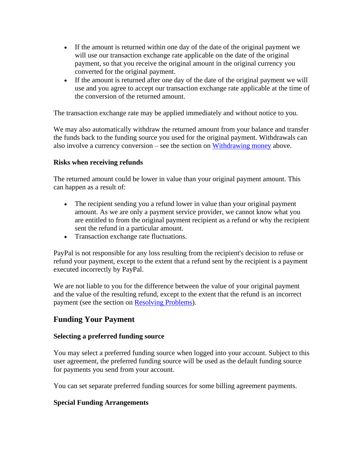- If the amount is returned within one day of the date of the original payment we will use our transaction exchange rate applicable on the date of the original payment, so that you receive the original amount in the original currency you converted for the original payment.
- If the amount is returned after one day of the date of the original payment we will use and you agree to accept our transaction exchange rate applicable at the time of the conversion of the returned amount.

The transaction exchange rate may be applied immediately and without notice to you.

We may also automatically withdraw the returned amount from your balance and transfer the funds back to the funding source you used for the original payment. Withdrawals can also involve a currency conversion – see the section on [Withdrawing money](#page-8-0) above.

#### **Risks when receiving refunds**

The returned amount could be lower in value than your original payment amount. This can happen as a result of:

- The recipient sending you a refund lower in value than your original payment amount. As we are only a payment service provider, we cannot know what you are entitled to from the original payment recipient as a refund or why the recipient sent the refund in a particular amount.
- Transaction exchange rate fluctuations.

PayPal is not responsible for any loss resulting from the recipient's decision to refuse or refund your payment, except to the extent that a refund sent by the recipient is a payment executed incorrectly by PayPal.

We are not liable to you for the difference between the value of your original payment and the value of the resulting refund, except to the extent that the refund is an incorrect payment (see the section on [Resolving Problems\)](#page-37-0).

### <span id="page-18-0"></span>**Funding Your Payment**

#### **Selecting a preferred funding source**

You may select a preferred funding source when logged into your account. Subject to this user agreement, the preferred funding source will be used as the default funding source for payments you send from your account.

You can set separate preferred funding sources for some billing agreement payments.

#### **Special Funding Arrangements**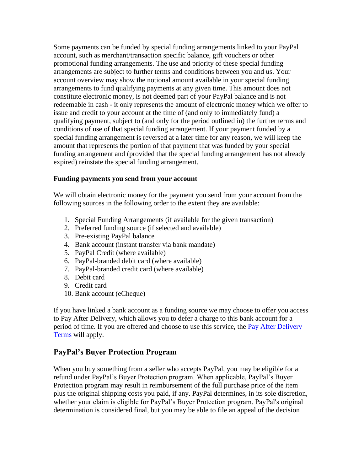Some payments can be funded by special funding arrangements linked to your PayPal account, such as merchant/transaction specific balance, gift vouchers or other promotional funding arrangements. The use and priority of these special funding arrangements are subject to further terms and conditions between you and us. Your account overview may show the notional amount available in your special funding arrangements to fund qualifying payments at any given time. This amount does not constitute electronic money, is not deemed part of your PayPal balance and is not redeemable in cash - it only represents the amount of electronic money which we offer to issue and credit to your account at the time of (and only to immediately fund) a qualifying payment, subject to (and only for the period outlined in) the further terms and conditions of use of that special funding arrangement. If your payment funded by a special funding arrangement is reversed at a later time for any reason, we will keep the amount that represents the portion of that payment that was funded by your special funding arrangement and (provided that the special funding arrangement has not already expired) reinstate the special funding arrangement.

#### **Funding payments you send from your account**

We will obtain electronic money for the payment you send from your account from the following sources in the following order to the extent they are available:

- 1. Special Funding Arrangements (if available for the given transaction)
- 2. Preferred funding source (if selected and available)
- 3. Pre-existing PayPal balance
- 4. Bank account (instant transfer via bank mandate)
- 5. PayPal Credit (where available)
- 6. PayPal-branded debit card (where available)
- 7. PayPal-branded credit card (where available)
- 8. Debit card
- 9. Credit card
- 10. Bank account (eCheque)

If you have linked a bank account as a funding source we may choose to offer you access to Pay After Delivery, which allows you to defer a charge to this bank account for a period of time. If you are offered and choose to use this service, the Pay After Delivery [Terms](https://www.paypal.com/cz/webapps/mpp/pay-after-delivery-terms?locale.x=en_CZ) will apply.

#### **PayPal's Buyer Protection Program**

When you buy something from a seller who accepts PayPal, you may be eligible for a refund under PayPal's Buyer Protection program. When applicable, PayPal's Buyer Protection program may result in reimbursement of the full purchase price of the item plus the original shipping costs you paid, if any. PayPal determines, in its sole discretion, whether your claim is eligible for PayPal's Buyer Protection program. PayPal's original determination is considered final, but you may be able to file an appeal of the decision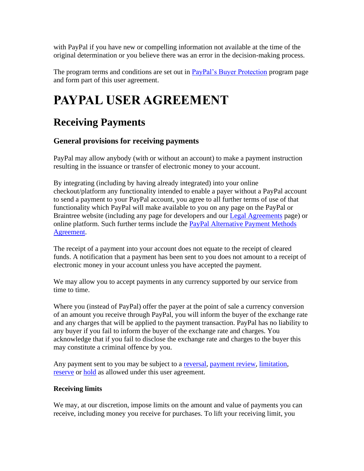with PayPal if you have new or compelling information not available at the time of the original determination or you believe there was an error in the decision-making process.

The program terms and conditions are set out in [PayPal's Buyer Protection](https://www.paypal.com/cz/webapps/mpp/ua/buyer-protection?locale.x=en_CZ) program page and form part of this user agreement.

# **PAYPAL USER AGREEMENT**

## **Receiving Payments**

## **General provisions for receiving payments**

PayPal may allow anybody (with or without an account) to make a payment instruction resulting in the issuance or transfer of electronic money to your account.

By integrating (including by having already integrated) into your online checkout/platform any functionality intended to enable a payer without a PayPal account to send a payment to your PayPal account, you agree to all further terms of use of that functionality which PayPal will make available to you on any page on the PayPal or Braintree website (including any page for developers and our **Legal Agreements** page) or online platform. Such further terms include the [PayPal Alternative Payment Methods](https://www.paypal.com/cz/webapps/mpp/ua/apm-tnc?locale.x=en_CZ)  [Agreement.](https://www.paypal.com/cz/webapps/mpp/ua/apm-tnc?locale.x=en_CZ)

The receipt of a payment into your account does not equate to the receipt of cleared funds. A notification that a payment has been sent to you does not amount to a receipt of electronic money in your account unless you have accepted the payment.

We may allow you to accept payments in any currency supported by our service from time to time.

Where you (instead of PayPal) offer the payer at the point of sale a currency conversion of an amount you receive through PayPal, you will inform the buyer of the exchange rate and any charges that will be applied to the payment transaction. PayPal has no liability to any buyer if you fail to inform the buyer of the exchange rate and charges. You acknowledge that if you fail to disclose the exchange rate and charges to the buyer this may constitute a criminal offence by you.

Any payment sent to you may be subject to a [reversal,](#page-24-0) [payment review,](#page-34-0) [limitation,](#page-33-0) [reserve](#page-33-0) or [hold](#page-33-0) as allowed under this user agreement.

#### **Receiving limits**

We may, at our discretion, impose limits on the amount and value of payments you can receive, including money you receive for purchases. To lift your receiving limit, you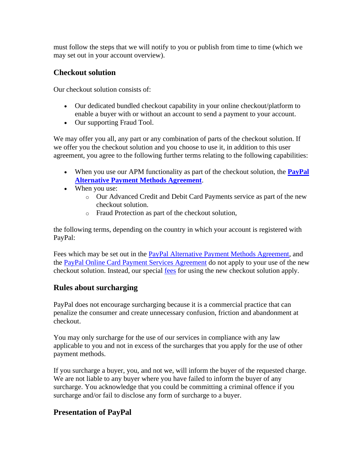must follow the steps that we will notify to you or publish from time to time (which we may set out in your account overview).

## **Checkout solution**

Our checkout solution consists of:

- Our dedicated bundled checkout capability in your online checkout/platform to enable a buyer with or without an account to send a payment to your account.
- Our supporting Fraud Tool.

We may offer you all, any part or any combination of parts of the checkout solution. If we offer you the checkout solution and you choose to use it, in addition to this user agreement, you agree to the following further terms relating to the following capabilities:

- When you use our APM functionality as part of the checkout solution, the **[PayPal](https://www.paypal.com/cz/webapps/mpp/ua/apm-tnc?locale.x=en_CZ)  [Alternative Payment Methods Agreement](https://www.paypal.com/cz/webapps/mpp/ua/apm-tnc?locale.x=en_CZ)**.
- When you use:
	- o Our Advanced Credit and Debit Card Payments service as part of the new checkout solution.
	- o Fraud Protection as part of the checkout solution,

the following terms, depending on the country in which your account is registered with PayPal:

Fees which may be set out in the [PayPal Alternative Payment Methods Agreement,](https://www.paypal.com/cz/webapps/mpp/ua/apm-tnc?locale.x=en_CZ) and the [PayPal Online Card Payment Services Agreement](https://www.paypal.com/cz/webapps/mpp/ua/pocpsa-full?locale.x=en_CZ) do not apply to your use of the new checkout solution. Instead, our special [fees](#page-53-0) for using the new checkout solution apply.

## **Rules about surcharging**

PayPal does not encourage surcharging because it is a commercial practice that can penalize the consumer and create unnecessary confusion, friction and abandonment at checkout.

You may only surcharge for the use of our services in compliance with any law applicable to you and not in excess of the surcharges that you apply for the use of other payment methods.

If you surcharge a buyer, you, and not we, will inform the buyer of the requested charge. We are not liable to any buyer where you have failed to inform the buyer of any surcharge. You acknowledge that you could be committing a criminal offence if you surcharge and/or fail to disclose any form of surcharge to a buyer.

## **Presentation of PayPal**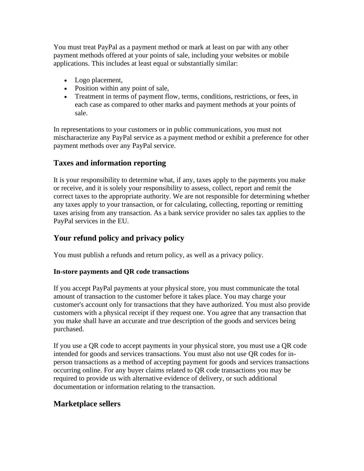You must treat PayPal as a payment method or mark at least on par with any other payment methods offered at your points of sale, including your websites or mobile applications. This includes at least equal or substantially similar:

- Logo placement,
- Position within any point of sale,
- Treatment in terms of payment flow, terms, conditions, restrictions, or fees, in each case as compared to other marks and payment methods at your points of sale.

In representations to your customers or in public communications, you must not mischaracterize any PayPal service as a payment method or exhibit a preference for other payment methods over any PayPal service.

## **Taxes and information reporting**

It is your responsibility to determine what, if any, taxes apply to the payments you make or receive, and it is solely your responsibility to assess, collect, report and remit the correct taxes to the appropriate authority. We are not responsible for determining whether any taxes apply to your transaction, or for calculating, collecting, reporting or remitting taxes arising from any transaction. As a bank service provider no sales tax applies to the PayPal services in the EU.

## **Your refund policy and privacy policy**

You must publish a refunds and return policy, as well as a privacy policy.

### **In-store payments and QR code transactions**

If you accept PayPal payments at your physical store, you must communicate the total amount of transaction to the customer before it takes place. You may charge your customer's account only for transactions that they have authorized. You must also provide customers with a physical receipt if they request one. You agree that any transaction that you make shall have an accurate and true description of the goods and services being purchased.

If you use a QR code to accept payments in your physical store, you must use a QR code intended for goods and services transactions. You must also not use QR codes for inperson transactions as a method of accepting payment for goods and services transactions occurring online. For any buyer claims related to QR code transactions you may be required to provide us with alternative evidence of delivery, or such additional documentation or information relating to the transaction.

## **Marketplace sellers**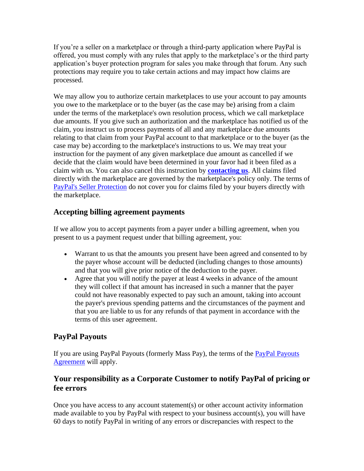If you're a seller on a marketplace or through a third-party application where PayPal is offered, you must comply with any rules that apply to the marketplace's or the third party application's buyer protection program for sales you make through that forum. Any such protections may require you to take certain actions and may impact how claims are processed.

We may allow you to authorize certain market places to use your account to pay amounts you owe to the marketplace or to the buyer (as the case may be) arising from a claim under the terms of the marketplace's own resolution process, which we call marketplace due amounts. If you give such an authorization and the marketplace has notified us of the claim, you instruct us to process payments of all and any marketplace due amounts relating to that claim from your PayPal account to that marketplace or to the buyer (as the case may be) according to the marketplace's instructions to us. We may treat your instruction for the payment of any given marketplace due amount as cancelled if we decide that the claim would have been determined in your favor had it been filed as a claim with us. You can also cancel this instruction by **[contacting us](#page-42-0)**. All claims filed directly with the marketplace are governed by the marketplace's policy only. The terms of [PayPal's Seller Protection](https://www.paypal.com/cz/webapps/mpp/ua/buyer-protection?locale.x=en_CZ) do not cover you for claims filed by your buyers directly with the marketplace.

## **Accepting billing agreement payments**

If we allow you to accept payments from a payer under a billing agreement, when you present to us a payment request under that billing agreement, you:

- Warrant to us that the amounts you present have been agreed and consented to by the payer whose account will be deducted (including changes to those amounts) and that you will give prior notice of the deduction to the payer.
- Agree that you will notify the payer at least 4 weeks in advance of the amount they will collect if that amount has increased in such a manner that the payer could not have reasonably expected to pay such an amount, taking into account the payer's previous spending patterns and the circumstances of the payment and that you are liable to us for any refunds of that payment in accordance with the terms of this user agreement.

## **PayPal Payouts**

If you are using PayPal Payouts (formerly Mass Pay), the terms of the [PayPal Payouts](https://www.paypal.com/cz/webapps/mpp/ua/paypal-payouts-agreement?locale.x=en_CZ)  [Agreement](https://www.paypal.com/cz/webapps/mpp/ua/paypal-payouts-agreement?locale.x=en_CZ) will apply.

## **Your responsibility as a Corporate Customer to notify PayPal of pricing or fee errors**

Once you have access to any account statement(s) or other account activity information made available to you by PayPal with respect to your business account(s), you will have 60 days to notify PayPal in writing of any errors or discrepancies with respect to the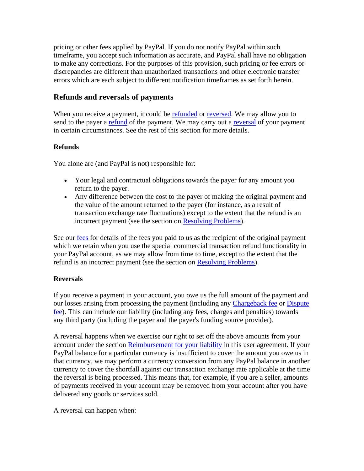pricing or other fees applied by PayPal. If you do not notify PayPal within such timeframe, you accept such information as accurate, and PayPal shall have no obligation to make any corrections. For the purposes of this provision, such pricing or fee errors or discrepancies are different than unauthorized transactions and other electronic transfer errors which are each subject to different notification timeframes as set forth herein.

## <span id="page-24-0"></span>**Refunds and reversals of payments**

When you receive a payment, it could be [refunded](#page-17-0) or [reversed.](#page-24-0) We may allow you to send to the payer a [refund](#page-24-0) of the payment. We may carry out a [reversal](#page-24-0) of your payment in certain circumstances. See the rest of this section for more details.

#### **Refunds**

You alone are (and PayPal is not) responsible for:

- Your legal and contractual obligations towards the payer for any amount you return to the payer.
- Any difference between the cost to the payer of making the original payment and the value of the amount returned to the payer (for instance, as a result of transaction exchange rate fluctuations) except to the extent that the refund is an incorrect payment (see the section on [Resolving Problems\)](#page-37-0).

See our [fees](#page-53-0) for details of the fees you paid to us as the recipient of the original payment which we retain when you use the special commercial transaction refund functionality in your PayPal account, as we may allow from time to time, except to the extent that the refund is an incorrect payment (see the section on [Resolving Problems\)](#page-37-0).

#### **Reversals**

If you receive a payment in your account, you owe us the full amount of the payment and our losses arising from processing the payment (including any [Chargeback fee](#page-26-0) or [Dispute](#page-25-0)  [fee\)](#page-25-0). This can include our liability (including any fees, charges and penalties) towards any third party (including the payer and the payer's funding source provider).

A reversal happens when we exercise our right to set off the above amounts from your account under the section [Reimbursement for your liability](#page-45-0) in this user agreement. If your PayPal balance for a particular currency is insufficient to cover the amount you owe us in that currency, we may perform a currency conversion from any PayPal balance in another currency to cover the shortfall against our transaction exchange rate applicable at the time the reversal is being processed. This means that, for example, if you are a seller, amounts of payments received in your account may be removed from your account after you have delivered any goods or services sold.

A reversal can happen when: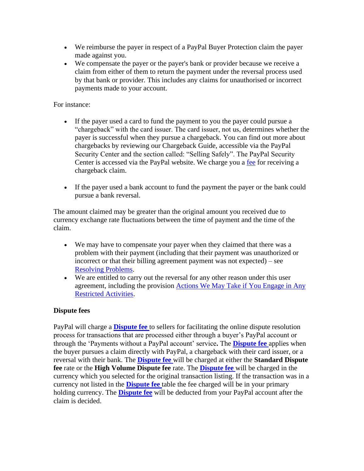- We reimburse the payer in respect of a PayPal Buyer Protection claim the payer made against you.
- We compensate the payer or the payer's bank or provider because we receive a claim from either of them to return the payment under the reversal process used by that bank or provider. This includes any claims for unauthorised or incorrect payments made to your account.

#### For instance:

- If the payer used a card to fund the payment to you the payer could pursue a "chargeback" with the card issuer. The card issuer, not us, determines whether the payer is successful when they pursue a chargeback. You can find out more about chargebacks by reviewing our Chargeback Guide, accessible via the PayPal Security Center and the section called: "Selling Safely". The PayPal Security Center is accessed via the PayPal website. We charge you a [fee](#page-53-0) for receiving a chargeback claim.
- If the payer used a bank account to fund the payment the payer or the bank could pursue a bank reversal.

The amount claimed may be greater than the original amount you received due to currency exchange rate fluctuations between the time of payment and the time of the claim.

- We may have to compensate your payer when they claimed that there was a problem with their payment (including that their payment was unauthorized or incorrect or that their billing agreement payment was not expected) – see [Resolving Problems.](#page-37-0)
- We are entitled to carry out the reversal for any other reason under this user agreement, including the provision [Actions We May Take if You Engage in Any](#page-30-0)  [Restricted Activities.](#page-30-0)

#### <span id="page-25-0"></span>**Dispute fees**

PayPal will charge a **[Dispute fee](#page-63-0)** to sellers for facilitating the online dispute resolution process for transactions that are processed either through a buyer's PayPal account or through the 'Payments without a PayPal account' service**.** The **[Dispute fee](#page-63-0)** applies when the buyer pursues a claim directly with PayPal, a chargeback with their card issuer, or a reversal with their bank. The **[Dispute fee](#page-63-0)** will be charged at either the **Standard Dispute fee** rate or the **High Volume Dispute fee** rate. The **[Dispute fee](#page-63-0)** will be charged in the currency which you selected for the original transaction listing. If the transaction was in a currency not listed in the **[Dispute fee](#page-63-0)** table the fee charged will be in your primary holding currency. The **[Dispute fee](#page-63-0)** will be deducted from your PayPal account after the claim is decided.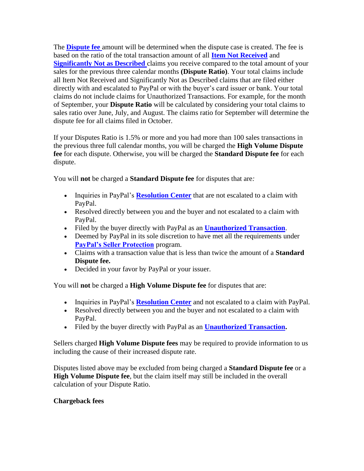The **[Dispute fee](#page-63-0)** amount will be determined when the dispute case is created. The fee is based on the ratio of the total transaction amount of all **Item Not Received** and **Significantly Not as Described** claims you receive compared to the total amount of your sales for the previous three calendar months **(Dispute Ratio)**. Your total claims include all Item Not Received and Significantly Not as Described claims that are filed either directly with and escalated to PayPal or with the buyer's card issuer or bank. Your total claims do not include claims for Unauthorized Transactions. For example, for the month of September, your **Dispute Ratio** will be calculated by considering your total claims to sales ratio over June, July, and August. The claims ratio for September will determine the dispute fee for all claims filed in October.

If your Disputes Ratio is 1.5% or more and you had more than 100 sales transactions in the previous three full calendar months, you will be charged the **High Volume Dispute fee** for each dispute. Otherwise, you will be charged the **Standard Dispute fee** for each dispute.

You will **not** be charged a **Standard Dispute fee** for disputes that are*:*

- Inquiries in PayPal's **[Resolution Center](https://www.paypal.com/cz/smarthelp/home?locale.x=en_CZ)** that are not escalated to a claim with PayPal.
- Resolved directly between you and the buyer and not escalated to a claim with PayPal.
- Filed by the buyer directly with PayPal as an **[Unauthorized Transaction](#page-37-1)**.
- Deemed by PayPal in its sole discretion to have met all the requirements under **[PayPal's Seller Protection](https://www.paypal.com/cz/webapps/mpp/ua/seller-protection?locale.x=en_CZ)** program.
- Claims with a transaction value that is less than twice the amount of a **Standard Dispute fee.**
- Decided in your favor by PayPal or your issuer.

You will **not** be charged a **High Volume Dispute fee** for disputes that are:

- Inquiries in PayPal's **[Resolution Center](https://www.paypal.com/cz/smarthelp/home?locale.x=en_CZ)** and not escalated to a claim with PayPal.
- Resolved directly between you and the buyer and not escalated to a claim with PayPal.
- Filed by the buyer directly with PayPal as an **[Unauthorized Transaction.](#page-37-1)**

Sellers charged **High Volume Dispute fees** may be required to provide information to us including the cause of their increased dispute rate.

Disputes listed above may be excluded from being charged a **Standard Dispute fee** or a **High Volume Dispute fee**, but the claim itself may still be included in the overall calculation of your Dispute Ratio.

### <span id="page-26-0"></span>**Chargeback fees**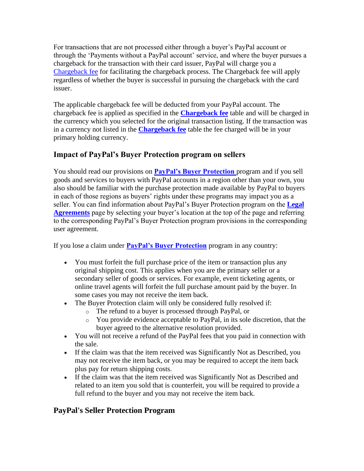For transactions that are not processed either through a buyer's PayPal account or through the 'Payments without a PayPal account' service, and where the buyer pursues a chargeback for the transaction with their card issuer, PayPal will charge you a [Chargeback fee](#page-62-0) for facilitating the chargeback process. The Chargeback fee will apply regardless of whether the buyer is successful in pursuing the chargeback with the card issuer.

The applicable chargeback fee will be deducted from your PayPal account. The chargeback fee is applied as specified in the **[Chargeback fee](#page-62-0)** table and will be charged in the currency which you selected for the original transaction listing. If the transaction was in a currency not listed in the **[Chargeback fee](#page-62-0)** table the fee charged will be in your primary holding currency.

## **Impact of PayPal's Buyer Protection program on sellers**

You should read our provisions on **[PayPal's Buyer Protection](https://www.paypal.com/cz/webapps/mpp/ua/buyer-protection?locale.x=en_CZ)** program and if you sell goods and services to buyers with PayPal accounts in a region other than your own, you also should be familiar with the purchase protection made available by PayPal to buyers in each of those regions as buyers' rights under these programs may impact you as a seller. You can find information about PayPal's Buyer Protection program on the **[Legal](https://www.paypal.com/cz/webapps/mpp/ua/legalhub-full?locale.x=en_CZ)  [Agreements](https://www.paypal.com/cz/webapps/mpp/ua/legalhub-full?locale.x=en_CZ)** page by selecting your buyer's location at the top of the page and referring to the corresponding PayPal's Buyer Protection program provisions in the corresponding user agreement.

If you lose a claim under **[PayPal's Buyer Protection](https://www.paypal.com/cz/webapps/mpp/ua/buyer-protection?locale.x=en_CZ)** program in any country:

- You must forfeit the full purchase price of the item or transaction plus any original shipping cost. This applies when you are the primary seller or a secondary seller of goods or services. For example, event ticketing agents, or online travel agents will forfeit the full purchase amount paid by the buyer. In some cases you may not receive the item back.
- The Buyer Protection claim will only be considered fully resolved if:
	- o The refund to a buyer is processed through PayPal, or
	- o You provide evidence acceptable to PayPal, in its sole discretion, that the buyer agreed to the alternative resolution provided.
- You will not receive a refund of the PayPal fees that you paid in connection with the sale.
- If the claim was that the item received was Significantly Not as Described, you may not receive the item back, or you may be required to accept the item back plus pay for return shipping costs.
- If the claim was that the item received was Significantly Not as Described and related to an item you sold that is counterfeit, you will be required to provide a full refund to the buyer and you may not receive the item back.

## <span id="page-27-0"></span>**PayPal's Seller Protection Program**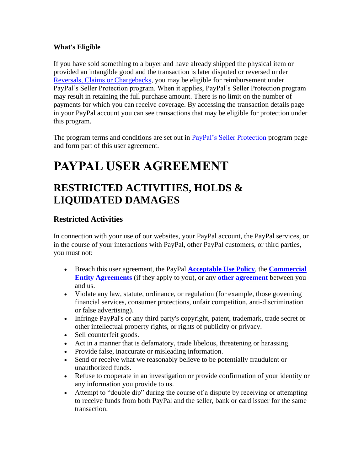#### **What's Eligible**

If you have sold something to a buyer and have already shipped the physical item or provided an intangible good and the transaction is later disputed or reversed under [Reversals, Claims or Chargebacks,](#page-24-0) you may be eligible for reimbursement under PayPal's Seller Protection program. When it applies, PayPal's Seller Protection program may result in retaining the full purchase amount. There is no limit on the number of payments for which you can receive coverage. By accessing the transaction details page in your PayPal account you can see transactions that may be eligible for protection under this program.

The program terms and conditions are set out in [PayPal's Seller Protection](https://www.paypal.com/cz/webapps/mpp/ua/seller-protection?locale.x=en_CZ) program page and form part of this user agreement.

# **PAYPAL USER AGREEMENT**

## **RESTRICTED ACTIVITIES, HOLDS & LIQUIDATED DAMAGES**

## <span id="page-28-0"></span>**Restricted Activities**

In connection with your use of our websites, your PayPal account, the PayPal services, or in the course of your interactions with PayPal, other PayPal customers, or third parties, you must not:

- Breach this user agreement, the PayPal **[Acceptable Use Policy](https://www.paypal.com/cz/webapps/mpp/ua/acceptableuse-full?locale.x=en_CZ)**, the **[Commercial](https://www.paypal.com/cz/webapps/mpp/ua/ceagreement-full?locale.x=en_CZ)  [Entity Agreements](https://www.paypal.com/cz/webapps/mpp/ua/ceagreement-full?locale.x=en_CZ)** (if they apply to you), or any **[other agreement](https://www.paypal.com/cz/webapps/mpp/ua/legalhub-full?locale.x=en_CZ)** between you and us.
- Violate any law, statute, ordinance, or regulation (for example, those governing financial services, consumer protections, unfair competition, anti-discrimination or false advertising).
- Infringe PayPal's or any third party's copyright, patent, trademark, trade secret or other intellectual property rights, or rights of publicity or privacy.
- Sell counterfeit goods.
- Act in a manner that is defamatory, trade libelous, threatening or harassing.
- Provide false, inaccurate or misleading information.
- Send or receive what we reasonably believe to be potentially fraudulent or unauthorized funds.
- Refuse to cooperate in an investigation or provide confirmation of your identity or any information you provide to us.
- Attempt to "double dip" during the course of a dispute by receiving or attempting to receive funds from both PayPal and the seller, bank or card issuer for the same transaction.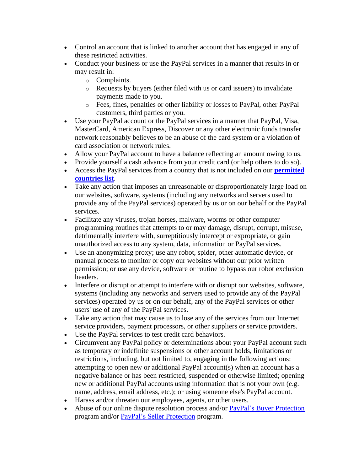- Control an account that is linked to another account that has engaged in any of these restricted activities.
- Conduct your business or use the PayPal services in a manner that results in or may result in:
	- o Complaints.
	- o Requests by buyers (either filed with us or card issuers) to invalidate payments made to you.
	- o Fees, fines, penalties or other liability or losses to PayPal, other PayPal customers, third parties or you.
- Use your PayPal account or the PayPal services in a manner that PayPal, Visa, MasterCard, American Express, Discover or any other electronic funds transfer network reasonably believes to be an abuse of the card system or a violation of card association or network rules.
- Allow your PayPal account to have a balance reflecting an amount owing to us.
- Provide yourself a cash advance from your credit card (or help others to do so).
- Access the PayPal services from a country that is not included on our **[permitted](https://www.paypal.com/cz/webapps/mpp/country-worldwide?locale.x=en_CZ)  [countries list](https://www.paypal.com/cz/webapps/mpp/country-worldwide?locale.x=en_CZ)**.
- Take any action that imposes an unreasonable or disproportionately large load on our websites, software, systems (including any networks and servers used to provide any of the PayPal services) operated by us or on our behalf or the PayPal services.
- Facilitate any viruses, trojan horses, malware, worms or other computer programming routines that attempts to or may damage, disrupt, corrupt, misuse, detrimentally interfere with, surreptitiously intercept or expropriate, or gain unauthorized access to any system, data, information or PayPal services.
- Use an anonymizing proxy; use any robot, spider, other automatic device, or manual process to monitor or copy our websites without our prior written permission; or use any device, software or routine to bypass our robot exclusion headers.
- Interfere or disrupt or attempt to interfere with or disrupt our websites, software, systems (including any networks and servers used to provide any of the PayPal services) operated by us or on our behalf, any of the PayPal services or other users' use of any of the PayPal services.
- Take any action that may cause us to lose any of the services from our Internet service providers, payment processors, or other suppliers or service providers.
- Use the PayPal services to test credit card behaviors.
- Circumvent any PayPal policy or determinations about your PayPal account such as temporary or indefinite suspensions or other account holds, limitations or restrictions, including, but not limited to, engaging in the following actions: attempting to open new or additional PayPal account(s) when an account has a negative balance or has been restricted, suspended or otherwise limited; opening new or additional PayPal accounts using information that is not your own (e.g. name, address, email address, etc.); or using someone else's PayPal account.
- Harass and/or threaten our employees, agents, or other users.
- Abuse of our online dispute resolution process and/or **PayPal's Buyer Protection** program and/or [PayPal's Seller Protection](https://www.paypal.com/cz/webapps/mpp/ua/seller-protection?locale.x=en_CZ) program.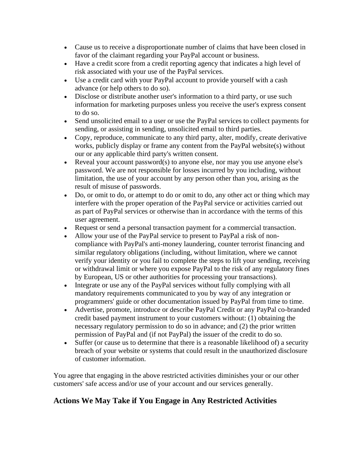- Cause us to receive a disproportionate number of claims that have been closed in favor of the claimant regarding your PayPal account or business.
- Have a credit score from a credit reporting agency that indicates a high level of risk associated with your use of the PayPal services.
- Use a credit card with your PayPal account to provide yourself with a cash advance (or help others to do so).
- Disclose or distribute another user's information to a third party, or use such information for marketing purposes unless you receive the user's express consent to do so.
- Send unsolicited email to a user or use the PayPal services to collect payments for sending, or assisting in sending, unsolicited email to third parties.
- Copy, reproduce, communicate to any third party, alter, modify, create derivative works, publicly display or frame any content from the PayPal website(s) without our or any applicable third party's written consent.
- Reveal your account password(s) to anyone else, nor may you use anyone else's password. We are not responsible for losses incurred by you including, without limitation, the use of your account by any person other than you, arising as the result of misuse of passwords.
- Do, or omit to do, or attempt to do or omit to do, any other act or thing which may interfere with the proper operation of the PayPal service or activities carried out as part of PayPal services or otherwise than in accordance with the terms of this user agreement.
- Request or send a personal transaction payment for a commercial transaction.
- Allow your use of the PayPal service to present to PayPal a risk of noncompliance with PayPal's anti-money laundering, counter terrorist financing and similar regulatory obligations (including, without limitation, where we cannot verify your identity or you fail to complete the steps to lift your sending, receiving or withdrawal limit or where you expose PayPal to the risk of any regulatory fines by European, US or other authorities for processing your transactions).
- Integrate or use any of the PayPal services without fully complying with all mandatory requirements communicated to you by way of any integration or programmers' guide or other documentation issued by PayPal from time to time.
- Advertise, promote, introduce or describe PayPal Credit or any PayPal co-branded credit based payment instrument to your customers without: (1) obtaining the necessary regulatory permission to do so in advance; and (2) the prior written permission of PayPal and (if not PayPal) the issuer of the credit to do so.
- Suffer (or cause us to determine that there is a reasonable likelihood of) a security breach of your website or systems that could result in the unauthorized disclosure of customer information.

You agree that engaging in the above restricted activities diminishes your or our other customers' safe access and/or use of your account and our services generally.

## <span id="page-30-0"></span>**Actions We May Take if You Engage in Any Restricted Activities**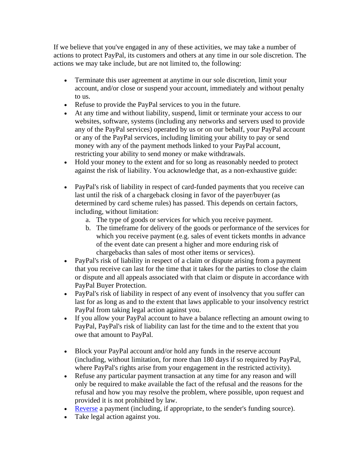If we believe that you've engaged in any of these activities, we may take a number of actions to protect PayPal, its customers and others at any time in our sole discretion. The actions we may take include, but are not limited to, the following:

- Terminate this user agreement at anytime in our sole discretion, limit your account, and/or close or suspend your account, immediately and without penalty to us.
- Refuse to provide the PayPal services to you in the future.
- At any time and without liability, suspend, limit or terminate your access to our websites, software, systems (including any networks and servers used to provide any of the PayPal services) operated by us or on our behalf, your PayPal account or any of the PayPal services, including limiting your ability to pay or send money with any of the payment methods linked to your PayPal account, restricting your ability to send money or make withdrawals.
- Hold your money to the extent and for so long as reasonably needed to protect against the risk of liability. You acknowledge that, as a non-exhaustive guide:
- PayPal's risk of liability in respect of card-funded payments that you receive can last until the risk of a chargeback closing in favor of the payer/buyer (as determined by card scheme rules) has passed. This depends on certain factors, including, without limitation:
	- a. The type of goods or services for which you receive payment.
	- b. The timeframe for delivery of the goods or performance of the services for which you receive payment (e.g. sales of event tickets months in advance of the event date can present a higher and more enduring risk of chargebacks than sales of most other items or services).
- PayPal's risk of liability in respect of a claim or dispute arising from a payment that you receive can last for the time that it takes for the parties to close the claim or dispute and all appeals associated with that claim or dispute in accordance with PayPal Buyer Protection.
- PayPal's risk of liability in respect of any event of insolvency that you suffer can last for as long as and to the extent that laws applicable to your insolvency restrict PayPal from taking legal action against you.
- If you allow your PayPal account to have a balance reflecting an amount owing to PayPal, PayPal's risk of liability can last for the time and to the extent that you owe that amount to PayPal.
- Block your PayPal account and/or hold any funds in the reserve account (including, without limitation, for more than 180 days if so required by PayPal, where PayPal's rights arise from your engagement in the restricted activity).
- Refuse any particular payment transaction at any time for any reason and will only be required to make available the fact of the refusal and the reasons for the refusal and how you may resolve the problem, where possible, upon request and provided it is not prohibited by law.
- [Reverse](#page-24-0) a payment (including, if appropriate, to the sender's funding source).
- Take legal action against you.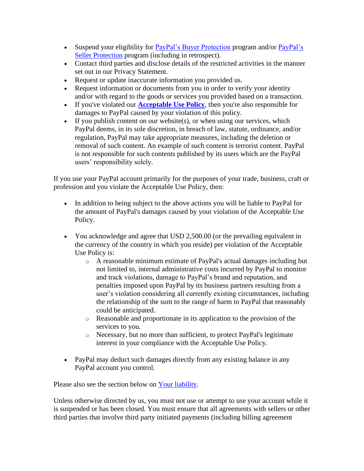- Suspend your eligibility for [PayPal's Buyer Protection](https://www.paypal.com/cz/webapps/mpp/ua/buyer-protection?locale.x=en_CZ) program and/or PayPal's [Seller Protection](https://www.paypal.com/cz/webapps/mpp/ua/seller-protection?locale.x=en_CZ) program (including in retrospect).
- Contact third parties and disclose details of the restricted activities in the manner set out in our Privacy Statement.
- Request or update inaccurate information you provided us.
- Request information or documents from you in order to verify your identity and/or with regard to the goods or services you provided based on a transaction.
- If you've violated our **[Acceptable Use Policy](https://www.paypal.com/cz/webapps/mpp/ua/acceptableuse-full?locale.x=en_CZ)**, then you're also responsible for damages to PayPal caused by your violation of this policy.
- If you publish content on our website $(s)$ , or when using our services, which PayPal deems, in its sole discretion, in breach of law, statute, ordinance, and/or regulation, PayPal may take appropriate measures, including the deletion or removal of such content. An example of such content is terrorist content. PayPal is not responsible for such contents published by its users which are the PayPal users' responsibility solely.

If you use your PayPal account primarily for the purposes of your trade, business, craft or profession and you violate the Acceptable Use Policy, then:

- In addition to being subject to the above actions you will be liable to PayPal for the amount of PayPal's damages caused by your violation of the Acceptable Use Policy.
- You acknowledge and agree that USD 2,500.00 (or the prevailing equivalent in the currency of the country in which you reside) per violation of the Acceptable Use Policy is:
	- o A reasonable minimum estimate of PayPal's actual damages including but not limited to, internal administrative costs incurred by PayPal to monitor and track violations, damage to PayPal's brand and reputation, and penalties imposed upon PayPal by its business partners resulting from a user's violation considering all currently existing circumstances, including the relationship of the sum to the range of harm to PayPal that reasonably could be anticipated.
	- o Reasonable and proportionate in its application to the provision of the services to you.
	- o Necessary, but no more than sufficient, to protect PayPal's legitimate interest in your compliance with the Acceptable Use Policy.
- PayPal may deduct such damages directly from any existing balance in any PayPal account you control.

Please also see the section below on [Your liability.](#page-33-0)

Unless otherwise directed by us, you must not use or attempt to use your account while it is suspended or has been closed. You must ensure that all agreements with sellers or other third parties that involve third party initiated payments (including billing agreement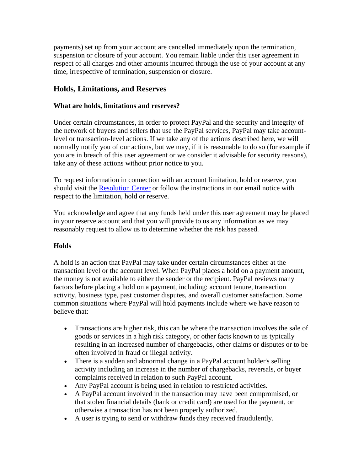payments) set up from your account are cancelled immediately upon the termination, suspension or closure of your account. You remain liable under this user agreement in respect of all charges and other amounts incurred through the use of your account at any time, irrespective of termination, suspension or closure.

## <span id="page-33-0"></span>**Holds, Limitations, and Reserves**

#### **What are holds, limitations and reserves?**

Under certain circumstances, in order to protect PayPal and the security and integrity of the network of buyers and sellers that use the PayPal services, PayPal may take accountlevel or transaction-level actions. If we take any of the actions described here, we will normally notify you of our actions, but we may, if it is reasonable to do so (for example if you are in breach of this user agreement or we consider it advisable for security reasons), take any of these actions without prior notice to you.

To request information in connection with an account limitation, hold or reserve, you should visit the [Resolution Center](https://www.paypal.com/cz/smarthelp/home?locale.x=en_CZ) or follow the instructions in our email notice with respect to the limitation, hold or reserve.

You acknowledge and agree that any funds held under this user agreement may be placed in your reserve account and that you will provide to us any information as we may reasonably request to allow us to determine whether the risk has passed.

#### **Holds**

A hold is an action that PayPal may take under certain circumstances either at the transaction level or the account level. When PayPal places a hold on a payment amount, the money is not available to either the sender or the recipient. PayPal reviews many factors before placing a hold on a payment, including: account tenure, transaction activity, business type, past customer disputes, and overall customer satisfaction. Some common situations where PayPal will hold payments include where we have reason to believe that:

- Transactions are higher risk, this can be where the transaction involves the sale of goods or services in a high risk category, or other facts known to us typically resulting in an increased number of chargebacks, other claims or disputes or to be often involved in fraud or illegal activity.
- There is a sudden and abnormal change in a PayPal account holder's selling activity including an increase in the number of chargebacks, reversals, or buyer complaints received in relation to such PayPal account.
- Any PayPal account is being used in relation to restricted activities.
- A PayPal account involved in the transaction may have been compromised, or that stolen financial details (bank or credit card) are used for the payment, or otherwise a transaction has not been properly authorized.
- A user is trying to send or withdraw funds they received fraudulently.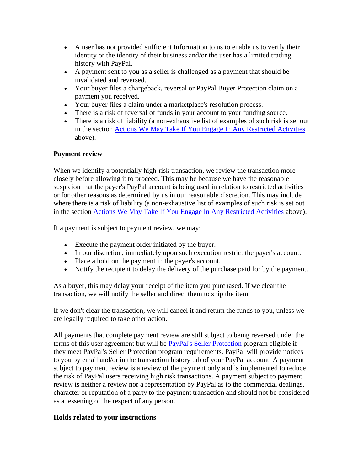- A user has not provided sufficient Information to us to enable us to verify their identity or the identity of their business and/or the user has a limited trading history with PayPal.
- A payment sent to you as a seller is challenged as a payment that should be invalidated and reversed.
- Your buyer files a chargeback, reversal or PayPal Buyer Protection claim on a payment you received.
- Your buyer files a claim under a marketplace's resolution process.
- There is a risk of reversal of funds in your account to your funding source.
- There is a risk of liability (a non-exhaustive list of examples of such risk is set out in the section [Actions We May Take If You Engage In Any Restricted Activities](#page-30-0) above).

#### <span id="page-34-0"></span>**Payment review**

When we identify a potentially high-risk transaction, we review the transaction more closely before allowing it to proceed. This may be because we have the reasonable suspicion that the payer's PayPal account is being used in relation to restricted activities or for other reasons as determined by us in our reasonable discretion. This may include where there is a risk of liability (a non-exhaustive list of examples of such risk is set out in the section [Actions We May Take If You Engage In Any Restricted Activities](#page-30-0) above).

If a payment is subject to payment review, we may:

- Execute the payment order initiated by the buyer.
- In our discretion, immediately upon such execution restrict the payer's account.
- Place a hold on the payment in the payer's account.
- Notify the recipient to delay the delivery of the purchase paid for by the payment.

As a buyer, this may delay your receipt of the item you purchased. If we clear the transaction, we will notify the seller and direct them to ship the item.

If we don't clear the transaction, we will cancel it and return the funds to you, unless we are legally required to take other action.

All payments that complete payment review are still subject to being reversed under the terms of this user agreement but will be [PayPal's Seller Protection](#page-27-0) program eligible if they meet PayPal's Seller Protection program requirements. PayPal will provide notices to you by email and/or in the transaction history tab of your PayPal account. A payment subject to payment review is a review of the payment only and is implemented to reduce the risk of PayPal users receiving high risk transactions. A payment subject to payment review is neither a review nor a representation by PayPal as to the commercial dealings, character or reputation of a party to the payment transaction and should not be considered as a lessening of the respect of any person.

#### **Holds related to your instructions**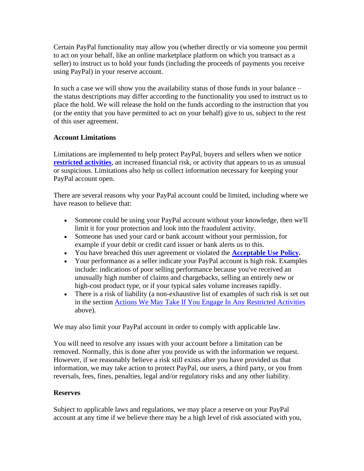Certain PayPal functionality may allow you (whether directly or via someone you permit to act on your behalf, like an online marketplace platform on which you transact as a seller) to instruct us to hold your funds (including the proceeds of payments you receive using PayPal) in your reserve account.

In such a case we will show you the availability status of those funds in your balance – the status descriptions may differ according to the functionality you used to instruct us to place the hold. We will release the hold on the funds according to the instruction that you (or the entity that you have permitted to act on your behalf) give to us, subject to the rest of this user agreement.

#### **Account Limitations**

Limitations are implemented to help protect PayPal, buyers and sellers when we notice **[restricted activities](#page-28-0)**, an increased financial risk, or activity that appears to us as unusual or suspicious. Limitations also help us collect information necessary for keeping your PayPal account open.

There are several reasons why your PayPal account could be limited, including where we have reason to believe that:

- Someone could be using your PayPal account without your knowledge, then we'll limit it for your protection and look into the fraudulent activity.
- Someone has used your card or bank account without your permission, for example if your debit or credit card issuer or bank alerts us to this.
- You have breached this user agreement or violated the **[Acceptable Use Policy.](https://www.paypal.com/cz/webapps/mpp/ua/acceptableuse-full?locale.x=en_CZ)**
- Your performance as a seller indicate your PayPal account is high risk. Examples include: indications of poor selling performance because you've received an unusually high number of claims and chargebacks, selling an entirely new or high-cost product type, or if your typical sales volume increases rapidly.
- There is a risk of liability (a non-exhaustive list of examples of such risk is set out in the section [Actions We May Take If You Engage In Any Restricted Activities](#page-30-0) above).

We may also limit your PayPal account in order to comply with applicable law.

You will need to resolve any issues with your account before a limitation can be removed. Normally, this is done after you provide us with the information we request. However, if we reasonably believe a risk still exists after you have provided us that information, we may take action to protect PayPal, our users, a third party, or you from reversals, fees, fines, penalties, legal and/or regulatory risks and any other liability.

#### **Reserves**

Subject to applicable laws and regulations, we may place a reserve on your PayPal account at any time if we believe there may be a high level of risk associated with you,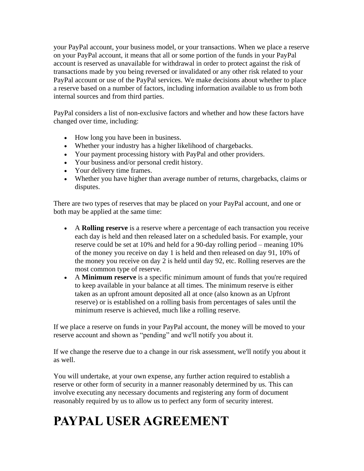your PayPal account, your business model, or your transactions. When we place a reserve on your PayPal account, it means that all or some portion of the funds in your PayPal account is reserved as unavailable for withdrawal in order to protect against the risk of transactions made by you being reversed or invalidated or any other risk related to your PayPal account or use of the PayPal services. We make decisions about whether to place a reserve based on a number of factors, including information available to us from both internal sources and from third parties.

PayPal considers a list of non-exclusive factors and whether and how these factors have changed over time, including:

- How long you have been in business.
- Whether your industry has a higher likelihood of chargebacks.
- Your payment processing history with PayPal and other providers.
- Your business and/or personal credit history.
- Your delivery time frames.
- Whether you have higher than average number of returns, chargebacks, claims or disputes.

There are two types of reserves that may be placed on your PayPal account, and one or both may be applied at the same time:

- A **Rolling reserve** is a reserve where a percentage of each transaction you receive each day is held and then released later on a scheduled basis. For example, your reserve could be set at 10% and held for a 90-day rolling period – meaning 10% of the money you receive on day 1 is held and then released on day 91, 10% of the money you receive on day 2 is held until day 92, etc. Rolling reserves are the most common type of reserve.
- A **Minimum reserve** is a specific minimum amount of funds that you're required to keep available in your balance at all times. The minimum reserve is either taken as an upfront amount deposited all at once (also known as an Upfront reserve) or is established on a rolling basis from percentages of sales until the minimum reserve is achieved, much like a rolling reserve.

If we place a reserve on funds in your PayPal account, the money will be moved to your reserve account and shown as "pending" and we'll notify you about it.

If we change the reserve due to a change in our risk assessment, we'll notify you about it as well.

You will undertake, at your own expense, any further action required to establish a reserve or other form of security in a manner reasonably determined by us. This can involve executing any necessary documents and registering any form of document reasonably required by us to allow us to perfect any form of security interest.

# **PAYPAL USER AGREEMENT**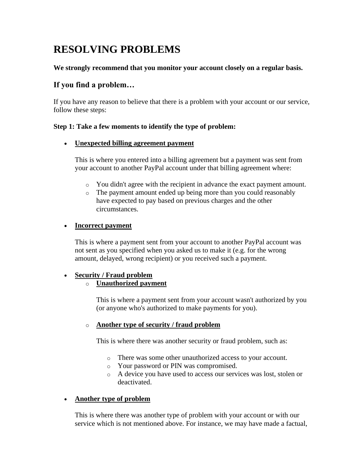# **RESOLVING PROBLEMS**

#### **We strongly recommend that you monitor your account closely on a regular basis.**

### **If you find a problem…**

If you have any reason to believe that there is a problem with your account or our service, follow these steps:

#### **Step 1: Take a few moments to identify the type of problem:**

#### • **Unexpected billing agreement payment**

This is where you entered into a billing agreement but a payment was sent from your account to another PayPal account under that billing agreement where:

- o You didn't agree with the recipient in advance the exact payment amount.
- o The payment amount ended up being more than you could reasonably have expected to pay based on previous charges and the other circumstances.

#### • **Incorrect payment**

This is where a payment sent from your account to another PayPal account was not sent as you specified when you asked us to make it (e.g. for the wrong amount, delayed, wrong recipient) or you received such a payment.

#### • **Security / Fraud problem**

o **Unauthorized payment**

This is where a payment sent from your account wasn't authorized by you (or anyone who's authorized to make payments for you).

#### o **Another type of security / fraud problem**

This is where there was another security or fraud problem, such as:

- o There was some other unauthorized access to your account.
- o Your password or PIN was compromised.
- o A device you have used to access our services was lost, stolen or deactivated.

#### • **Another type of problem**

This is where there was another type of problem with your account or with our service which is not mentioned above. For instance, we may have made a factual,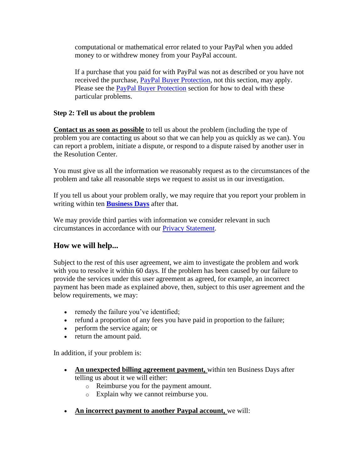computational or mathematical error related to your PayPal when you added money to or withdrew money from your PayPal account.

If a purchase that you paid for with PayPal was not as described or you have not received the purchase, [PayPal Buyer Protection,](#page-19-0) not this section, may apply. Please see the [PayPal Buyer Protection](#page-19-0) section for how to deal with these particular problems.

#### **Step 2: Tell us about the problem**

**Contact us as soon as possible** to tell us about the problem (including the type of problem you are contacting us about so that we can help you as quickly as we can). You can report a problem, initiate a dispute, or respond to a dispute raised by another user in the Resolution Center.

You must give us all the information we reasonably request as to the circumstances of the problem and take all reasonable steps we request to assist us in our investigation.

If you tell us about your problem orally, we may require that you report your problem in writing within ten **Business Days** after that.

We may provide third parties with information we consider relevant in such circumstances in accordance with our [Privacy Statement.](https://www.paypal.com/cz/webapps/mpp/ua/privacy-full?locale.x=en_CZ)

#### **How we will help...**

Subject to the rest of this user agreement, we aim to investigate the problem and work with you to resolve it within 60 days. If the problem has been caused by our failure to provide the services under this user agreement as agreed, for example, an incorrect payment has been made as explained above, then, subject to this user agreement and the below requirements, we may:

- remedy the failure you've identified;
- refund a proportion of any fees you have paid in proportion to the failure;
- perform the service again; or
- return the amount paid.

In addition, if your problem is:

- An unexpected billing agreement payment, within ten Business Days after telling us about it we will either:
	- o Reimburse you for the payment amount.
	- o Explain why we cannot reimburse you.
- **An incorrect payment to another Paypal account,** we will: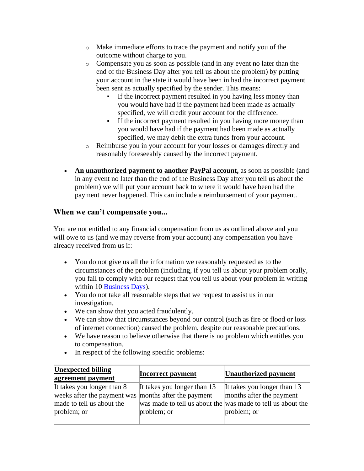- o Make immediate efforts to trace the payment and notify you of the outcome without charge to you.
- o Compensate you as soon as possible (and in any event no later than the end of the Business Day after you tell us about the problem) by putting your account in the state it would have been in had the incorrect payment been sent as actually specified by the sender. This means:
	- If the incorrect payment resulted in you having less money than you would have had if the payment had been made as actually specified, we will credit your account for the difference.
	- If the incorrect payment resulted in you having more money than you would have had if the payment had been made as actually specified, we may debit the extra funds from your account.
- o Reimburse you in your account for your losses or damages directly and reasonably foreseeably caused by the incorrect payment.
- An unauthorized payment to another PayPal account, as soon as possible (and in any event no later than the end of the Business Day after you tell us about the problem) we will put your account back to where it would have been had the payment never happened. This can include a reimbursement of your payment.

### **When we can't compensate you...**

You are not entitled to any financial compensation from us as outlined above and you will owe to us (and we may reverse from your account) any compensation you have already received from us if:

- You do not give us all the information we reasonably requested as to the circumstances of the problem (including, if you tell us about your problem orally, you fail to comply with our request that you tell us about your problem in writing within 10 Business Days).
- You do not take all reasonable steps that we request to assist us in our investigation.
- We can show that you acted fraudulently.
- We can show that circumstances beyond our control (such as fire or flood or loss of internet connection) caused the problem, despite our reasonable precautions.
- We have reason to believe otherwise that there is no problem which entitles you to compensation.
- In respect of the following specific problems:

| <b>Unexpected billing</b><br>agreement payment                                                                                 | <b>Incorrect payment</b>                   | <b>Unauthorized payment</b>                                                                                                           |
|--------------------------------------------------------------------------------------------------------------------------------|--------------------------------------------|---------------------------------------------------------------------------------------------------------------------------------------|
| It takes you longer than 8<br>weeks after the payment was months after the payment<br>made to tell us about the<br>problem; or | It takes you longer than 13<br>problem; or | It takes you longer than 13<br>months after the payment<br>was made to tell us about the was made to tell us about the<br>problem; or |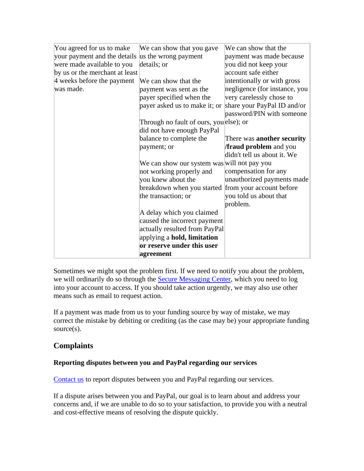| You agreed for us to make      | We can show that you gave                           | We can show that the              |
|--------------------------------|-----------------------------------------------------|-----------------------------------|
| your payment and the details   | us the wrong payment                                | payment was made because          |
| were made available to you     | details; or                                         | you did not keep your             |
| by us or the merchant at least |                                                     | account safe either               |
| 4 weeks before the payment     | We can show that the                                | intentionally or with gross       |
| was made.                      | payment was sent as the                             | negligence (for instance, you     |
|                                | payer specified when the                            | very carelessly chose to          |
|                                | payer asked us to make it; or                       | share your PayPal ID and/or       |
|                                |                                                     | password/PIN with someone         |
|                                | Through no fault of ours, youelse); or              |                                   |
|                                | did not have enough PayPal                          |                                   |
|                                | balance to complete the                             | There was <b>another security</b> |
|                                | payment; or                                         | <b>fraud problem</b> and you      |
|                                |                                                     | didn't tell us about it. We       |
|                                | We can show our system was will not pay you         |                                   |
|                                | not working properly and                            | compensation for any              |
|                                | you knew about the                                  | unauthorized payments made        |
|                                | breakdown when you started from your account before |                                   |
|                                | the transaction; or                                 | you told us about that            |
|                                |                                                     | problem.                          |
|                                | A delay which you claimed                           |                                   |
|                                | caused the incorrect payment                        |                                   |
|                                | actually resulted from PayPal                       |                                   |
|                                | applying a <b>hold</b> , limitation                 |                                   |
|                                | or reserve under this user                          |                                   |
|                                | agreement                                           |                                   |

Sometimes we might spot the problem first. If we need to notify you about the problem, we will ordinarily do so through the [Secure Messaging Center,](https://www.paypal.com/cz/selfhelp/home?locale.x=en_CZ) which you need to log into your account to access. If you should take action urgently, we may also use other means such as email to request action.

If a payment was made from us to your funding source by way of mistake, we may correct the mistake by debiting or crediting (as the case may be) your appropriate funding source(s).

# **Complaints**

#### **Reporting disputes between you and PayPal regarding our services**

[Contact us](https://www.paypal.com/cz/selfhelp/home?locale.x=en_CZ) to report disputes between you and PayPal regarding our services.

If a dispute arises between you and PayPal, our goal is to learn about and address your concerns and, if we are unable to do so to your satisfaction, to provide you with a neutral and cost-effective means of resolving the dispute quickly.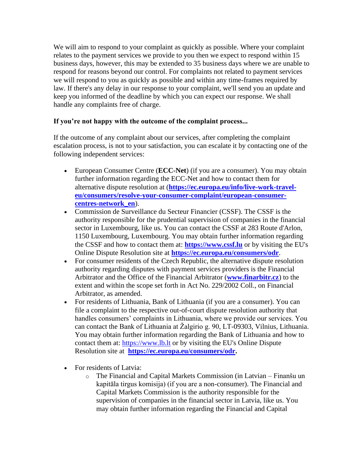We will aim to respond to your complaint as quickly as possible. Where your complaint relates to the payment services we provide to you then we expect to respond within 15 business days, however, this may be extended to 35 business days where we are unable to respond for reasons beyond our control. For complaints not related to payment services we will respond to you as quickly as possible and within any time-frames required by law. If there's any delay in our response to your complaint, we'll send you an update and keep you informed of the deadline by which you can expect our response. We shall handle any complaints free of charge.

#### **If you're not happy with the outcome of the complaint process...**

If the outcome of any complaint about our services, after completing the complaint escalation process, is not to your satisfaction, you can escalate it by contacting one of the following independent services:

- European Consumer Centre (**ECC-Net**) (if you are a consumer). You may obtain further information regarding the ECC-Net and how to contact them for alternative dispute resolution at (**[https://ec.europa.eu/info/live-work-travel](https://ec.europa.eu/info/live-work-travel-eu/consumers/resolve-your-consumer-complaint/european-consumer-centres-network_en)[eu/consumers/resolve-your-consumer-complaint/european-consumer](https://ec.europa.eu/info/live-work-travel-eu/consumers/resolve-your-consumer-complaint/european-consumer-centres-network_en)[centres-network\\_en](https://ec.europa.eu/info/live-work-travel-eu/consumers/resolve-your-consumer-complaint/european-consumer-centres-network_en)**).
- Commission de Surveillance du Secteur Financier (CSSF). The CSSF is the authority responsible for the prudential supervision of companies in the financial sector in Luxembourg, like us. You can contact the CSSF at 283 Route d'Arlon, 1150 Luxembourg, Luxembourg. You may obtain further information regarding the CSSF and how to contact them at: **[https://www.cssf.lu](https://www.cssf.lu/)** or by visiting the EU's Online Dispute Resolution site at **<https://ec.europa.eu/consumers/odr>**.
- For consumer residents of the Czech Republic, the alternative dispute resolution authority regarding disputes with payment services providers is the Financial Arbitrator and the Office of the Financial Arbitrator (**[www.finarbitr.cz](http://www.finarbitr.cz/)**) to the extent and within the scope set forth in Act No. 229/2002 Coll., on Financial Arbitrator, as amended.
- For residents of Lithuania, Bank of Lithuania (if you are a consumer). You can file a complaint to the respective out-of-court dispute resolution authority that handles consumers' complaints in Lithuania, where we provide our services. You can contact the Bank of Lithuania at Žalgirio g. 90, LT-09303, Vilnius, Lithuania. You may obtain further information regarding the Bank of Lithuania and how to contact them at: [https://www.lb.lt](https://www.lb.lt/) or by visiting the EU's Online Dispute Resolution site at **[https://ec.europa.eu/consumers/odr.](https://ec.europa.eu/consumers/odr)**
- For residents of Latvia:
	- o The Financial and Capital Markets Commission (in Latvian Finanšu un kapitāla tirgus komisija) (if you are a non-consumer). The Financial and Capital Markets Commission is the authority responsible for the supervision of companies in the financial sector in Latvia, like us. You may obtain further information regarding the Financial and Capital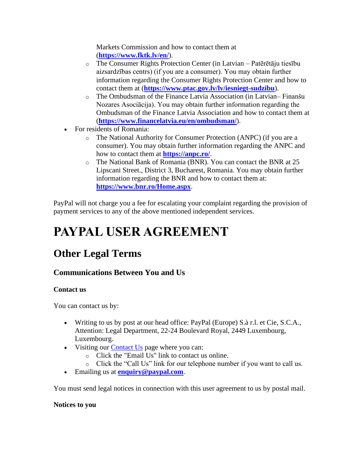Markets Commission and how to contact them at (**<https://www.fktk.lv/en/>**).

- o The Consumer Rights Protection Center (in Latvian Patērētāju tiesību aizsardzības centrs) (if you are a consumer). You may obtain further information regarding the Consumer Rights Protection Center and how to contact them at (**<https://www.ptac.gov.lv/lv/iesniegt-sudzibu>**).
- o The Ombudsman of the Finance Latvia Association (in Latvian– Finanšu Nozares Asociācija). You may obtain further information regarding the Ombudsman of the Finance Latvia Association and how to contact them at (**<https://www.financelatvia.eu/en/ombudsman/>**).
- For residents of Romania:
	- o The National Authority for Consumer Protection (ANPC) (if you are a consumer). You may obtain further information regarding the ANPC and how to contact them at **<https://anpc.ro/>**.
	- o The National Bank of Romania (BNR). You can contact the BNR at 25 Lipscani Street., District 3, Bucharest, Romania. You may obtain further information regarding the BNR and how to contact them at: **<https://www.bnr.ro/Home.aspx>**.

PayPal will not charge you a fee for escalating your complaint regarding the provision of payment services to any of the above mentioned independent services.

# **PAYPAL USER AGREEMENT**

# **Other Legal Terms**

# **Communications Between You and Us**

#### **Contact us**

You can contact us by:

- Writing to us by post at our head office: PayPal (Europe) S.à r.l. et Cie, S.C.A., Attention: Legal Department, 22-24 Boulevard Royal, 2449 Luxembourg, Luxembourg.
- Visiting our [Contact Us](https://www.paypal.com/cz/cgi-bin/helpscr?cmd=_help&t=escalateTab&locale.x=en_GB) page where you can:
	- o Click the "Email Us" link to contact us online.
	- o Click the "Call Us" link for our telephone number if you want to call us.
- Emailing us at **[enquiry@paypal.com](mailto:enquiry@paypal.com)**.

You must send legal notices in connection with this user agreement to us by postal mail.

#### **Notices to you**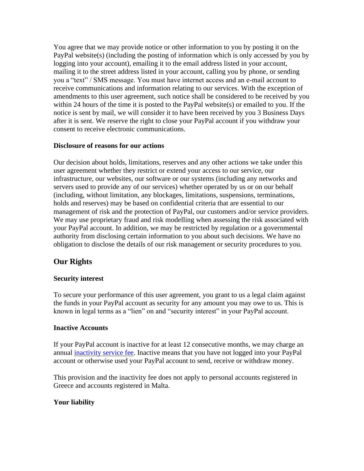You agree that we may provide notice or other information to you by posting it on the PayPal website(s) (including the posting of information which is only accessed by you by logging into your account), emailing it to the email address listed in your account, mailing it to the street address listed in your account, calling you by phone, or sending you a "text" / SMS message. You must have internet access and an e-mail account to receive communications and information relating to our services. With the exception of amendments to this user agreement, such notice shall be considered to be received by you within 24 hours of the time it is posted to the PayPal website(s) or emailed to you. If the notice is sent by mail, we will consider it to have been received by you 3 Business Days after it is sent. We reserve the right to close your PayPal account if you withdraw your consent to receive electronic communications.

#### **Disclosure of reasons for our actions**

Our decision about holds, limitations, reserves and any other actions we take under this user agreement whether they restrict or extend your access to our service, our infrastructure, our websites, our software or our systems (including any networks and servers used to provide any of our services) whether operated by us or on our behalf (including, without limitation, any blockages, limitations, suspensions, terminations, holds and reserves) may be based on confidential criteria that are essential to our management of risk and the protection of PayPal, our customers and/or service providers. We may use proprietary fraud and risk modelling when assessing the risk associated with your PayPal account. In addition, we may be restricted by regulation or a governmental authority from disclosing certain information to you about such decisions. We have no obligation to disclose the details of our risk management or security procedures to you.

#### **Our Rights**

#### **Security interest**

To secure your performance of this user agreement, you grant to us a legal claim against the funds in your PayPal account as security for any amount you may owe to us. This is known in legal terms as a "lien" on and "security interest" in your PayPal account.

#### **Inactive Accounts**

If your PayPal account is inactive for at least 12 consecutive months, we may charge an annual *inactivity service fee*. Inactive means that you have not logged into your PayPal account or otherwise used your PayPal account to send, receive or withdraw money.

This provision and the inactivity fee does not apply to personal accounts registered in Greece and accounts registered in Malta.

#### **Your liability**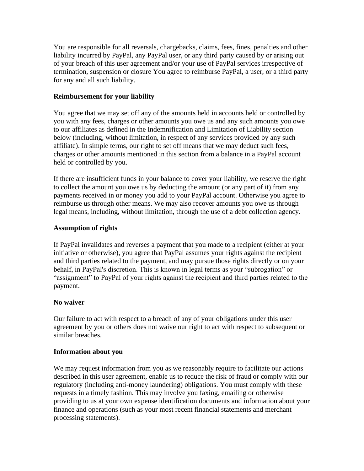You are responsible for all reversals, chargebacks, claims, fees, fines, penalties and other liability incurred by PayPal, any PayPal user, or any third party caused by or arising out of your breach of this user agreement and/or your use of PayPal services irrespective of termination, suspension or closure You agree to reimburse PayPal, a user, or a third party for any and all such liability.

#### **Reimbursement for your liability**

You agree that we may set off any of the amounts held in accounts held or controlled by you with any fees, charges or other amounts you owe us and any such amounts you owe to our affiliates as defined in the Indemnification and Limitation of Liability section below (including, without limitation, in respect of any services provided by any such affiliate). In simple terms, our right to set off means that we may deduct such fees, charges or other amounts mentioned in this section from a balance in a PayPal account held or controlled by you.

If there are insufficient funds in your balance to cover your liability, we reserve the right to collect the amount you owe us by deducting the amount (or any part of it) from any payments received in or money you add to your PayPal account. Otherwise you agree to reimburse us through other means. We may also recover amounts you owe us through legal means, including, without limitation, through the use of a debt collection agency.

#### **Assumption of rights**

If PayPal invalidates and reverses a payment that you made to a recipient (either at your initiative or otherwise), you agree that PayPal assumes your rights against the recipient and third parties related to the payment, and may pursue those rights directly or on your behalf, in PayPal's discretion. This is known in legal terms as your "subrogation" or "assignment" to PayPal of your rights against the recipient and third parties related to the payment.

#### **No waiver**

Our failure to act with respect to a breach of any of your obligations under this user agreement by you or others does not waive our right to act with respect to subsequent or similar breaches.

#### **Information about you**

We may request information from you as we reasonably require to facilitate our actions described in this user agreement, enable us to reduce the risk of fraud or comply with our regulatory (including anti-money laundering) obligations. You must comply with these requests in a timely fashion. This may involve you faxing, emailing or otherwise providing to us at your own expense identification documents and information about your finance and operations (such as your most recent financial statements and merchant processing statements).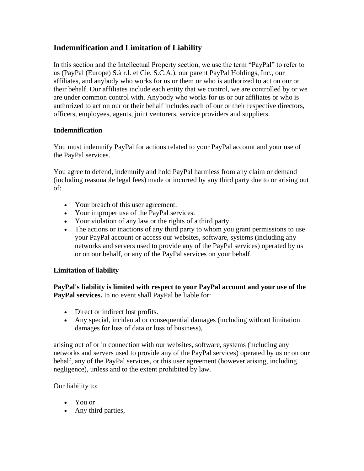# <span id="page-45-0"></span>**Indemnification and Limitation of Liability**

In this section and the Intellectual Property section, we use the term "PayPal" to refer to us (PayPal (Europe) S.à r.l. et Cie, S.C.A.), our parent PayPal Holdings, Inc., our affiliates, and anybody who works for us or them or who is authorized to act on our or their behalf. Our affiliates include each entity that we control, we are controlled by or we are under common control with. Anybody who works for us or our affiliates or who is authorized to act on our or their behalf includes each of our or their respective directors, officers, employees, agents, joint venturers, service providers and suppliers.

#### **Indemnification**

You must indemnify PayPal for actions related to your PayPal account and your use of the PayPal services.

You agree to defend, indemnify and hold PayPal harmless from any claim or demand (including reasonable legal fees) made or incurred by any third party due to or arising out of:

- Your breach of this user agreement.
- Your improper use of the PayPal services.
- Your violation of any law or the rights of a third party.
- The actions or inactions of any third party to whom you grant permissions to use your PayPal account or access our websites, software, systems (including any networks and servers used to provide any of the PayPal services) operated by us or on our behalf, or any of the PayPal services on your behalf.

#### **Limitation of liability**

**PayPal's liability is limited with respect to your PayPal account and your use of the PayPal services.** In no event shall PayPal be liable for:

- Direct or indirect lost profits.
- Any special, incidental or consequential damages (including without limitation damages for loss of data or loss of business),

arising out of or in connection with our websites, software, systems (including any networks and servers used to provide any of the PayPal services) operated by us or on our behalf, any of the PayPal services, or this user agreement (however arising, including negligence), unless and to the extent prohibited by law.

Our liability to:

- You or
- Any third parties,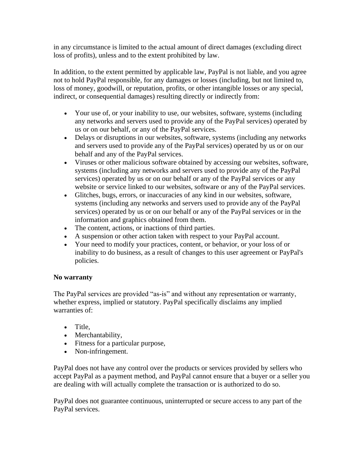in any circumstance is limited to the actual amount of direct damages (excluding direct loss of profits), unless and to the extent prohibited by law.

In addition, to the extent permitted by applicable law, PayPal is not liable, and you agree not to hold PayPal responsible, for any damages or losses (including, but not limited to, loss of money, goodwill, or reputation, profits, or other intangible losses or any special, indirect, or consequential damages) resulting directly or indirectly from:

- Your use of, or your inability to use, our websites, software, systems (including any networks and servers used to provide any of the PayPal services) operated by us or on our behalf, or any of the PayPal services.
- Delays or disruptions in our websites, software, systems (including any networks and servers used to provide any of the PayPal services) operated by us or on our behalf and any of the PayPal services.
- Viruses or other malicious software obtained by accessing our websites, software, systems (including any networks and servers used to provide any of the PayPal services) operated by us or on our behalf or any of the PayPal services or any website or service linked to our websites, software or any of the PayPal services.
- Glitches, bugs, errors, or inaccuracies of any kind in our websites, software, systems (including any networks and servers used to provide any of the PayPal services) operated by us or on our behalf or any of the PayPal services or in the information and graphics obtained from them.
- The content, actions, or inactions of third parties.
- A suspension or other action taken with respect to your PayPal account.
- Your need to modify your practices, content, or behavior, or your loss of or inability to do business, as a result of changes to this user agreement or PayPal's policies.

#### **No warranty**

The PayPal services are provided "as-is" and without any representation or warranty, whether express, implied or statutory. PayPal specifically disclaims any implied warranties of:

- Title,
- Merchantability,
- Fitness for a particular purpose,
- Non-infringement.

PayPal does not have any control over the products or services provided by sellers who accept PayPal as a payment method, and PayPal cannot ensure that a buyer or a seller you are dealing with will actually complete the transaction or is authorized to do so.

PayPal does not guarantee continuous, uninterrupted or secure access to any part of the PayPal services.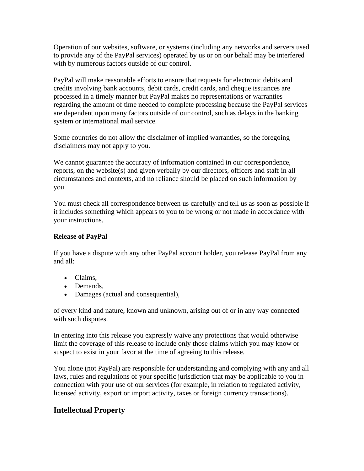Operation of our websites, software, or systems (including any networks and servers used to provide any of the PayPal services) operated by us or on our behalf may be interfered with by numerous factors outside of our control.

PayPal will make reasonable efforts to ensure that requests for electronic debits and credits involving bank accounts, debit cards, credit cards, and cheque issuances are processed in a timely manner but PayPal makes no representations or warranties regarding the amount of time needed to complete processing because the PayPal services are dependent upon many factors outside of our control, such as delays in the banking system or international mail service.

Some countries do not allow the disclaimer of implied warranties, so the foregoing disclaimers may not apply to you.

We cannot guarantee the accuracy of information contained in our correspondence, reports, on the website(s) and given verbally by our directors, officers and staff in all circumstances and contexts, and no reliance should be placed on such information by you.

You must check all correspondence between us carefully and tell us as soon as possible if it includes something which appears to you to be wrong or not made in accordance with your instructions.

#### **Release of PayPal**

If you have a dispute with any other PayPal account holder, you release PayPal from any and all:

- Claims,
- Demands.
- Damages (actual and consequential),

of every kind and nature, known and unknown, arising out of or in any way connected with such disputes.

In entering into this release you expressly waive any protections that would otherwise limit the coverage of this release to include only those claims which you may know or suspect to exist in your favor at the time of agreeing to this release.

You alone (not PayPal) are responsible for understanding and complying with any and all laws, rules and regulations of your specific jurisdiction that may be applicable to you in connection with your use of our services (for example, in relation to regulated activity, licensed activity, export or import activity, taxes or foreign currency transactions).

# **Intellectual Property**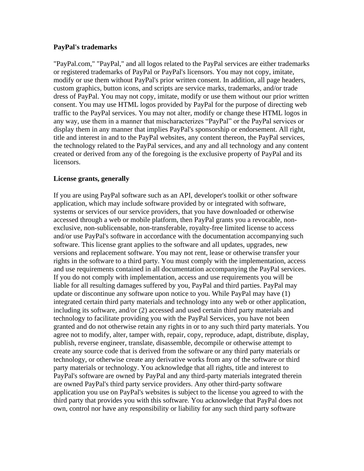#### **PayPal's trademarks**

"PayPal.com," "PayPal," and all logos related to the PayPal services are either trademarks or registered trademarks of PayPal or PayPal's licensors. You may not copy, imitate, modify or use them without PayPal's prior written consent. In addition, all page headers, custom graphics, button icons, and scripts are service marks, trademarks, and/or trade dress of PayPal. You may not copy, imitate, modify or use them without our prior written consent. You may use HTML logos provided by PayPal for the purpose of directing web traffic to the PayPal services. You may not alter, modify or change these HTML logos in any way, use them in a manner that mischaracterizes "PayPal" or the PayPal services or display them in any manner that implies PayPal's sponsorship or endorsement. All right, title and interest in and to the PayPal websites, any content thereon, the PayPal services, the technology related to the PayPal services, and any and all technology and any content created or derived from any of the foregoing is the exclusive property of PayPal and its licensors.

#### **License grants, generally**

If you are using PayPal software such as an API, developer's toolkit or other software application, which may include software provided by or integrated with software, systems or services of our service providers, that you have downloaded or otherwise accessed through a web or mobile platform, then PayPal grants you a revocable, nonexclusive, non-sublicensable, non-transferable, royalty-free limited license to access and/or use PayPal's software in accordance with the documentation accompanying such software. This license grant applies to the software and all updates, upgrades, new versions and replacement software. You may not rent, lease or otherwise transfer your rights in the software to a third party. You must comply with the implementation, access and use requirements contained in all documentation accompanying the PayPal services. If you do not comply with implementation, access and use requirements you will be liable for all resulting damages suffered by you, PayPal and third parties. PayPal may update or discontinue any software upon notice to you. While PayPal may have (1) integrated certain third party materials and technology into any web or other application, including its software, and/or (2) accessed and used certain third party materials and technology to facilitate providing you with the PayPal Services, you have not been granted and do not otherwise retain any rights in or to any such third party materials. You agree not to modify, alter, tamper with, repair, copy, reproduce, adapt, distribute, display, publish, reverse engineer, translate, disassemble, decompile or otherwise attempt to create any source code that is derived from the software or any third party materials or technology, or otherwise create any derivative works from any of the software or third party materials or technology. You acknowledge that all rights, title and interest to PayPal's software are owned by PayPal and any third-party materials integrated therein are owned PayPal's third party service providers. Any other third-party software application you use on PayPal's websites is subject to the license you agreed to with the third party that provides you with this software. You acknowledge that PayPal does not own, control nor have any responsibility or liability for any such third party software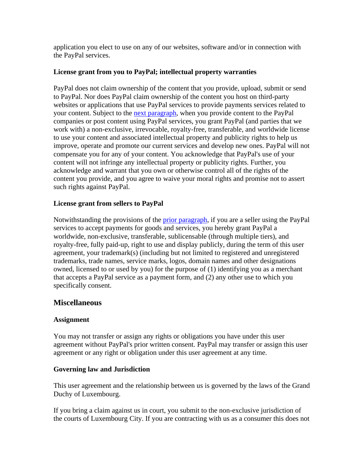application you elect to use on any of our websites, software and/or in connection with the PayPal services.

#### <span id="page-49-1"></span>**License grant from you to PayPal; intellectual property warranties**

PayPal does not claim ownership of the content that you provide, upload, submit or send to PayPal. Nor does PayPal claim ownership of the content you host on third-party websites or applications that use PayPal services to provide payments services related to your content. Subject to the [next paragraph,](#page-49-0) when you provide content to the PayPal companies or post content using PayPal services, you grant PayPal (and parties that we work with) a non-exclusive, irrevocable, royalty-free, transferable, and worldwide license to use your content and associated intellectual property and publicity rights to help us improve, operate and promote our current services and develop new ones. PayPal will not compensate you for any of your content. You acknowledge that PayPal's use of your content will not infringe any intellectual property or publicity rights. Further, you acknowledge and warrant that you own or otherwise control all of the rights of the content you provide, and you agree to waive your moral rights and promise not to assert such rights against PayPal.

#### <span id="page-49-0"></span>**License grant from sellers to PayPal**

Notwithstanding the provisions of the [prior paragraph,](#page-49-1) if you are a seller using the PayPal services to accept payments for goods and services, you hereby grant PayPal a worldwide, non-exclusive, transferable, sublicensable (through multiple tiers), and royalty-free, fully paid-up, right to use and display publicly, during the term of this user agreement, your trademark(s) (including but not limited to registered and unregistered trademarks, trade names, service marks, logos, domain names and other designations owned, licensed to or used by you) for the purpose of (1) identifying you as a merchant that accepts a PayPal service as a payment form, and (2) any other use to which you specifically consent.

#### **Miscellaneous**

#### **Assignment**

You may not transfer or assign any rights or obligations you have under this user agreement without PayPal's prior written consent. PayPal may transfer or assign this user agreement or any right or obligation under this user agreement at any time.

#### **Governing law and Jurisdiction**

This user agreement and the relationship between us is governed by the laws of the Grand Duchy of Luxembourg.

If you bring a claim against us in court, you submit to the non-exclusive jurisdiction of the courts of Luxembourg City. If you are contracting with us as a consumer this does not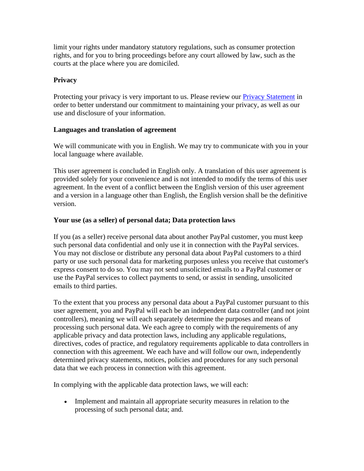limit your rights under mandatory statutory regulations, such as consumer protection rights, and for you to bring proceedings before any court allowed by law, such as the courts at the place where you are domiciled.

#### **Privacy**

Protecting your privacy is very important to us. Please review our **Privacy Statement** in order to better understand our commitment to maintaining your privacy, as well as our use and disclosure of your information.

#### **Languages and translation of agreement**

We will communicate with you in English. We may try to communicate with you in your local language where available.

This user agreement is concluded in English only. A translation of this user agreement is provided solely for your convenience and is not intended to modify the terms of this user agreement. In the event of a conflict between the English version of this user agreement and a version in a language other than English, the English version shall be the definitive version.

#### **Your use (as a seller) of personal data; Data protection laws**

If you (as a seller) receive personal data about another PayPal customer, you must keep such personal data confidential and only use it in connection with the PayPal services. You may not disclose or distribute any personal data about PayPal customers to a third party or use such personal data for marketing purposes unless you receive that customer's express consent to do so. You may not send unsolicited emails to a PayPal customer or use the PayPal services to collect payments to send, or assist in sending, unsolicited emails to third parties.

To the extent that you process any personal data about a PayPal customer pursuant to this user agreement, you and PayPal will each be an independent data controller (and not joint controllers), meaning we will each separately determine the purposes and means of processing such personal data. We each agree to comply with the requirements of any applicable privacy and data protection laws, including any applicable regulations, directives, codes of practice, and regulatory requirements applicable to data controllers in connection with this agreement. We each have and will follow our own, independently determined privacy statements, notices, policies and procedures for any such personal data that we each process in connection with this agreement.

In complying with the applicable data protection laws, we will each:

• Implement and maintain all appropriate security measures in relation to the processing of such personal data; and.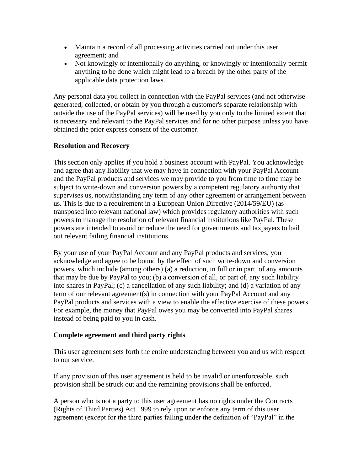- Maintain a record of all processing activities carried out under this user agreement; and
- Not knowingly or intentionally do anything, or knowingly or intentionally permit anything to be done which might lead to a breach by the other party of the applicable data protection laws.

Any personal data you collect in connection with the PayPal services (and not otherwise generated, collected, or obtain by you through a customer's separate relationship with outside the use of the PayPal services) will be used by you only to the limited extent that is necessary and relevant to the PayPal services and for no other purpose unless you have obtained the prior express consent of the customer.

#### **Resolution and Recovery**

This section only applies if you hold a business account with PayPal. You acknowledge and agree that any liability that we may have in connection with your PayPal Account and the PayPal products and services we may provide to you from time to time may be subject to write-down and conversion powers by a competent regulatory authority that supervises us, notwithstanding any term of any other agreement or arrangement between us. This is due to a requirement in a European Union Directive (2014/59/EU) (as transposed into relevant national law) which provides regulatory authorities with such powers to manage the resolution of relevant financial institutions like PayPal. These powers are intended to avoid or reduce the need for governments and taxpayers to bail out relevant failing financial institutions.

By your use of your PayPal Account and any PayPal products and services, you acknowledge and agree to be bound by the effect of such write-down and conversion powers, which include (among others) (a) a reduction, in full or in part, of any amounts that may be due by PayPal to you; (b) a conversion of all, or part of, any such liability into shares in PayPal; (c) a cancellation of any such liability; and (d) a variation of any term of our relevant agreement(s) in connection with your PayPal Account and any PayPal products and services with a view to enable the effective exercise of these powers. For example, the money that PayPal owes you may be converted into PayPal shares instead of being paid to you in cash.

#### **Complete agreement and third party rights**

This user agreement sets forth the entire understanding between you and us with respect to our service.

If any provision of this user agreement is held to be invalid or unenforceable, such provision shall be struck out and the remaining provisions shall be enforced.

A person who is not a party to this user agreement has no rights under the Contracts (Rights of Third Parties) Act 1999 to rely upon or enforce any term of this user agreement (except for the third parties falling under the definition of "PayPal" in the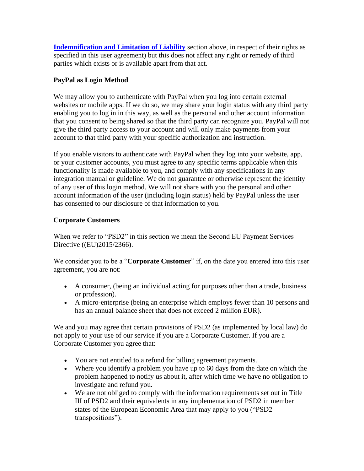**[Indemnification and Limitation of Liability](#page-45-0)** section above, in respect of their rights as specified in this user agreement) but this does not affect any right or remedy of third parties which exists or is available apart from that act.

#### **PayPal as Login Method**

We may allow you to authenticate with PayPal when you log into certain external websites or mobile apps. If we do so, we may share your login status with any third party enabling you to log in in this way, as well as the personal and other account information that you consent to being shared so that the third party can recognize you. PayPal will not give the third party access to your account and will only make payments from your account to that third party with your specific authorization and instruction.

If you enable visitors to authenticate with PayPal when they log into your website, app, or your customer accounts, you must agree to any specific terms applicable when this functionality is made available to you, and comply with any specifications in any integration manual or guideline. We do not guarantee or otherwise represent the identity of any user of this login method. We will not share with you the personal and other account information of the user (including login status) held by PayPal unless the user has consented to our disclosure of that information to you.

#### **Corporate Customers**

When we refer to "PSD2" in this section we mean the Second EU Payment Services Directive ((EU)2015/2366).

We consider you to be a "**Corporate Customer**" if, on the date you entered into this user agreement, you are not:

- A consumer, (being an individual acting for purposes other than a trade, business or profession).
- A micro-enterprise (being an enterprise which employs fewer than 10 persons and has an annual balance sheet that does not exceed 2 million EUR).

We and you may agree that certain provisions of PSD2 (as implemented by local law) do not apply to your use of our service if you are a Corporate Customer. If you are a Corporate Customer you agree that:

- You are not entitled to a refund for billing agreement payments.
- Where you identify a problem you have up to 60 days from the date on which the problem happened to notify us about it, after which time we have no obligation to investigate and refund you.
- We are not obliged to comply with the information requirements set out in Title III of PSD2 and their equivalents in any implementation of PSD2 in member states of the European Economic Area that may apply to you ("PSD2 transpositions").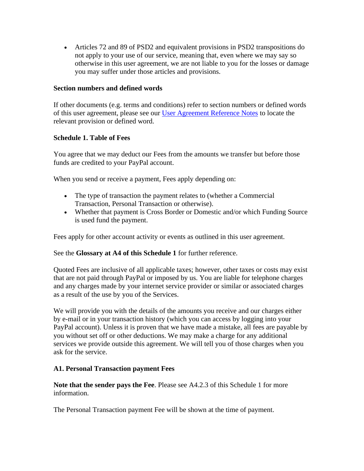• Articles 72 and 89 of PSD2 and equivalent provisions in PSD2 transpositions do not apply to your use of our service, meaning that, even where we may say so otherwise in this user agreement, we are not liable to you for the losses or damage you may suffer under those articles and provisions.

#### **Section numbers and defined words**

If other documents (e.g. terms and conditions) refer to section numbers or defined words of this user agreement, please see our [User Agreement Reference Notes](https://www.paypal.com/cz/webapps/mpp/ua/reference-notes-full?locale.x=en_CZ) to locate the relevant provision or defined word.

#### **Schedule 1. Table of Fees**

You agree that we may deduct our Fees from the amounts we transfer but before those funds are credited to your PayPal account.

When you send or receive a payment, Fees apply depending on:

- The type of transaction the payment relates to (whether a Commercial Transaction, Personal Transaction or otherwise).
- Whether that payment is Cross Border or Domestic and/or which Funding Source is used fund the payment.

Fees apply for other account activity or events as outlined in this user agreement.

See the **Glossary at A4 of this Schedule 1** for further reference.

Quoted Fees are inclusive of all applicable taxes; however, other taxes or costs may exist that are not paid through PayPal or imposed by us. You are liable for telephone charges and any charges made by your internet service provider or similar or associated charges as a result of the use by you of the Services.

We will provide you with the details of the amounts you receive and our charges either by e-mail or in your transaction history (which you can access by logging into your PayPal account). Unless it is proven that we have made a mistake, all fees are payable by you without set off or other deductions. We may make a charge for any additional services we provide outside this agreement. We will tell you of those charges when you ask for the service.

#### **A1. Personal Transaction payment Fees**

**Note that the sender pays the Fee**. Please see A4.2.3 of this Schedule 1 for more information.

The Personal Transaction payment Fee will be shown at the time of payment.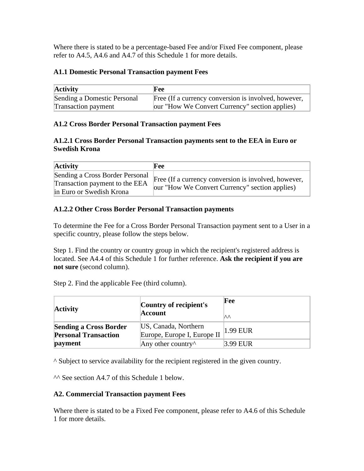Where there is stated to be a percentage-based Fee and/or Fixed Fee component, please refer to A4.5, A4.6 and A4.7 of this Schedule 1 for more details.

#### **A1.1 Domestic Personal Transaction payment Fees**

| <b>Activity</b>             | Fee                                                  |
|-----------------------------|------------------------------------------------------|
| Sending a Domestic Personal | Free (If a currency conversion is involved, however, |
| <b>Transaction payment</b>  | our "How We Convert Currency" section applies)       |

#### **A1.2 Cross Border Personal Transaction payment Fees**

#### **A1.2.1 Cross Border Personal Transaction payments sent to the EEA in Euro or Swedish Krona**

| <b>Activity</b>                                                                               | Fee                                                                                                    |
|-----------------------------------------------------------------------------------------------|--------------------------------------------------------------------------------------------------------|
| Sending a Cross Border Personal<br>Transaction payment to the EEA<br>in Euro or Swedish Krona | Free (If a currency conversion is involved, however,<br>our "How We Convert Currency" section applies) |

#### **A1.2.2 Other Cross Border Personal Transaction payments**

To determine the Fee for a Cross Border Personal Transaction payment sent to a User in a specific country, please follow the steps below.

Step 1. Find the country or country group in which the recipient's registered address is located. See A4.4 of this Schedule 1 for further reference. **Ask the recipient if you are not sure** (second column).

Step 2. Find the applicable Fee (third column).

| <b>Activity</b>                                              | Country of recipient's<br><b>Account</b>            | Fee<br>∣∧∧  |
|--------------------------------------------------------------|-----------------------------------------------------|-------------|
| <b>Sending a Cross Border</b><br><b>Personal Transaction</b> | US, Canada, Northern<br>Europe, Europe I, Europe II | $ 1.99$ EUR |
| payment                                                      | Any other country $\wedge$                          | 3.99 EUR    |

^ Subject to service availability for the recipient registered in the given country.

^^ See section A4.7 of this Schedule 1 below.

#### **A2. Commercial Transaction payment Fees**

Where there is stated to be a Fixed Fee component, please refer to A4.6 of this Schedule 1 for more details.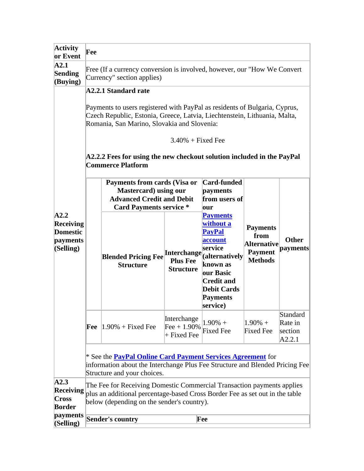| <b>Activity</b><br>or Event                                   | Fee                                                                                                                                                                                                  |                                                                                                                                                                                                                                                                                                                                      |                                                           |                                                                                                                                                                                                        |                                                                                   |                                          |
|---------------------------------------------------------------|------------------------------------------------------------------------------------------------------------------------------------------------------------------------------------------------------|--------------------------------------------------------------------------------------------------------------------------------------------------------------------------------------------------------------------------------------------------------------------------------------------------------------------------------------|-----------------------------------------------------------|--------------------------------------------------------------------------------------------------------------------------------------------------------------------------------------------------------|-----------------------------------------------------------------------------------|------------------------------------------|
| $\mathbf{A2.1}$<br>Sending<br>(Buying)                        | Free (If a currency conversion is involved, however, our "How We Convert"<br>Currency" section applies)                                                                                              |                                                                                                                                                                                                                                                                                                                                      |                                                           |                                                                                                                                                                                                        |                                                                                   |                                          |
|                                                               |                                                                                                                                                                                                      | A2.2.1 Standard rate<br>Payments to users registered with PayPal as residents of Bulgaria, Cyprus,<br>Czech Republic, Estonia, Greece, Latvia, Liechtenstein, Lithuania, Malta,<br>Romania, San Marino, Slovakia and Slovenia:<br>A2.2.2 Fees for using the new checkout solution included in the PayPal<br><b>Commerce Platform</b> | $3.40\% + Fixed$ Fixed Fee                                |                                                                                                                                                                                                        |                                                                                   |                                          |
|                                                               |                                                                                                                                                                                                      | Payments from cards (Visa or<br><b>Mastercard</b> ) using our<br><b>Advanced Credit and Debit</b><br><b>Card Payments service *</b>                                                                                                                                                                                                  | Card-funded<br>payments<br>from users of<br>our           |                                                                                                                                                                                                        |                                                                                   |                                          |
| A2.2<br>Receiving<br><b>Domestic</b><br>payments<br>(Selling) |                                                                                                                                                                                                      | <b>Blended Pricing Fee</b><br><b>Structure</b>                                                                                                                                                                                                                                                                                       | <b>Interchange</b><br><b>Plus Fee</b><br><b>Structure</b> | <b>Payments</b><br>without a<br><b>PayPal</b><br><b>account</b><br>service<br>(alternatively<br>known as<br><b>our Basic</b><br><b>Credit and</b><br><b>Debit Cards</b><br><b>Payments</b><br>service) | <b>Payments</b><br>from<br><b>Alternative</b><br><b>Payment</b><br><b>Methods</b> | <b>Other</b><br><b>payments</b>          |
|                                                               |                                                                                                                                                                                                      | <b>Fee</b> $ 1.90\% + \text{Fixed}$ Fee                                                                                                                                                                                                                                                                                              | Interchange<br>$[Fee + 1.90\%]$<br>+ Fixed Fee            | $1.90%$ +<br><b>Fixed Fee</b>                                                                                                                                                                          | $1.90\% +$<br><b>Fixed Fee</b>                                                    | Standard<br>Rate in<br>section<br>A2.2.1 |
|                                                               | * See the <b>PayPal Online Card Payment Services Agreement</b> for<br>information about the Interchange Plus Fee Structure and Blended Pricing Fee<br>Structure and your choices.                    |                                                                                                                                                                                                                                                                                                                                      |                                                           |                                                                                                                                                                                                        |                                                                                   |                                          |
| A2.3<br>Receiving<br><b>Cross</b><br><b>Border</b>            | The Fee for Receiving Domestic Commercial Transaction payments applies<br>plus an additional percentage-based Cross Border Fee as set out in the table<br>below (depending on the sender's country). |                                                                                                                                                                                                                                                                                                                                      |                                                           |                                                                                                                                                                                                        |                                                                                   |                                          |
| payments<br>(Selling)                                         | Sender's country<br>Fee                                                                                                                                                                              |                                                                                                                                                                                                                                                                                                                                      |                                                           |                                                                                                                                                                                                        |                                                                                   |                                          |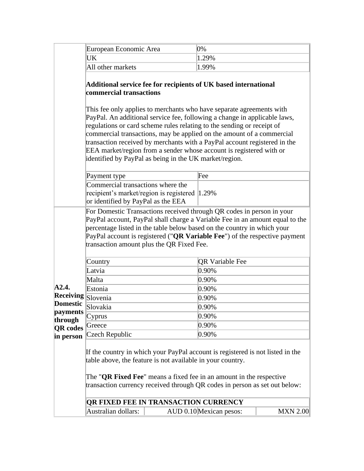|                                                                                                              | European Economic Area                                                                                                                                                                                                                                                                                                                                                                                                                                                                                             | 0%                                                                                                |
|--------------------------------------------------------------------------------------------------------------|--------------------------------------------------------------------------------------------------------------------------------------------------------------------------------------------------------------------------------------------------------------------------------------------------------------------------------------------------------------------------------------------------------------------------------------------------------------------------------------------------------------------|---------------------------------------------------------------------------------------------------|
|                                                                                                              | UK                                                                                                                                                                                                                                                                                                                                                                                                                                                                                                                 | 1.29%                                                                                             |
|                                                                                                              | All other markets                                                                                                                                                                                                                                                                                                                                                                                                                                                                                                  | 1.99%                                                                                             |
|                                                                                                              | Additional service fee for recipients of UK based international<br>commercial transactions                                                                                                                                                                                                                                                                                                                                                                                                                         |                                                                                                   |
|                                                                                                              | This fee only applies to merchants who have separate agreements with<br>PayPal. An additional service fee, following a change in applicable laws,<br>regulations or card scheme rules relating to the sending or receipt of<br>commercial transactions, may be applied on the amount of a commercial<br>transaction received by merchants with a PayPal account registered in the<br>EEA market/region from a sender whose account is registered with or<br>identified by PayPal as being in the UK market/region. |                                                                                                   |
|                                                                                                              | Payment type                                                                                                                                                                                                                                                                                                                                                                                                                                                                                                       | Fee                                                                                               |
|                                                                                                              | Commercial transactions where the<br>recipient's market/region is registered 1.29%<br>or identified by PayPal as the EEA                                                                                                                                                                                                                                                                                                                                                                                           |                                                                                                   |
| A2.4.<br><b>Receiving Slovenia</b><br><b>Domestic</b><br>payments<br>through<br><b>QR</b> codes<br>in person | PayPal account is registered ("QR Variable Fee") of the respective payment<br>transaction amount plus the QR Fixed Fee.<br>Country<br>Latvia<br>Malta<br>Estonia<br>Slovakia<br>Cyprus<br>Greece<br>Czech Republic<br>If the country in which your PayPal account is registered is not listed in the<br>table above, the feature is not available in your country.<br>The " <b>QR Fixed Fee</b> " means a fixed fee in an amount in the respective                                                                 | <b>QR Variable Fee</b><br>0.90%<br>0.90%<br>0.90%<br>0.90%<br>$0.90\%$<br>0.90%<br>0.90%<br>0.90% |
|                                                                                                              | transaction currency received through QR codes in person as set out below:                                                                                                                                                                                                                                                                                                                                                                                                                                         |                                                                                                   |
|                                                                                                              | <b>QR FIXED FEE IN TRANSACTION CURRENCY</b>                                                                                                                                                                                                                                                                                                                                                                                                                                                                        |                                                                                                   |
|                                                                                                              | Australian dollars:                                                                                                                                                                                                                                                                                                                                                                                                                                                                                                | AUD 0.10 Mexican pesos:<br><b>MXN 2.00</b>                                                        |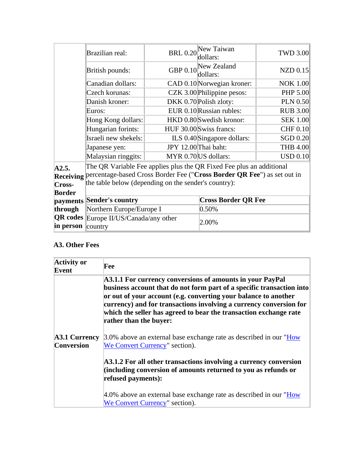|                  | Brazilian real:                                                         | <b>BRL 0.20</b>      | New Taiwan<br>dollars:      | <b>TWD 3.00</b>   |
|------------------|-------------------------------------------------------------------------|----------------------|-----------------------------|-------------------|
|                  | British pounds:                                                         | GBP 0.10             | New Zealand<br>dollars:     | $NZD$ 0.15        |
|                  | Canadian dollars:                                                       |                      | CAD 0.10 Norwegian kroner:  | <b>NOK 1.00</b>   |
|                  | Czech korunas:                                                          |                      | CZK 3.00 Philippine pesos:  | PHP 5.00          |
|                  | Danish kroner:                                                          |                      | DKK 0.70 Polish zloty:      | <b>PLN 0.50</b>   |
|                  | Euros:                                                                  |                      | EUR 0.10 Russian rubles:    | <b>RUB 3.00</b>   |
|                  | Hong Kong dollars:                                                      |                      | HKD 0.80 Swedish kronor:    | <b>SEK 1.00</b>   |
|                  | Hungarian forints:                                                      |                      | HUF 30.00 Swiss francs:     | <b>CHF 0.10</b>   |
|                  | Israeli new shekels:                                                    |                      | ILS 0.40 Singapore dollars: | <b>SGD 0.20</b>   |
|                  | Japanese yen:                                                           | JPY 12.00 Thai baht: |                             | <b>THB 4.00</b>   |
|                  | Malaysian ringgits:                                                     |                      | MYR 0.70 US dollars:        | $\text{USD}$ 0.10 |
| A2.5.            | The QR Variable Fee applies plus the QR Fixed Fee plus an additional    |                      |                             |                   |
| <b>Receiving</b> | percentage-based Cross Border Fee ("Cross Border QR Fee") as set out in |                      |                             |                   |
| Cross-           | the table below (depending on the sender's country):                    |                      |                             |                   |
| <b>Border</b>    |                                                                         |                      |                             |                   |
|                  | payments Sender's country                                               |                      | <b>Cross Border QR Fee</b>  |                   |
| through          | Northern Europe/Europe I                                                |                      | 0.50%                       |                   |
| in person        | <b>QR codes</b> Europe II/US/Canada/any other<br>$\ $ country           |                      | 2.00%                       |                   |

# **A3. Other Fees**

| <b>Activity or</b><br>Event               | Fee                                                                                                                                                                                                                                                                                                                                                                        |
|-------------------------------------------|----------------------------------------------------------------------------------------------------------------------------------------------------------------------------------------------------------------------------------------------------------------------------------------------------------------------------------------------------------------------------|
|                                           | A3.1.1 For currency conversions of amounts in your PayPal<br>business account that do not form part of a specific transaction into<br>or out of your account (e.g. converting your balance to another<br>currency) and for transactions involving a currency conversion for<br>which the seller has agreed to bear the transaction exchange rate<br>rather than the buyer: |
| <b>A3.1 Currency</b><br><b>Conversion</b> | 3.0% above an external base exchange rate as described in our "How<br>We Convert Currency" section).                                                                                                                                                                                                                                                                       |
|                                           | A3.1.2 For all other transactions involving a currency conversion<br>(including conversion of amounts returned to you as refunds or<br>refused payments):                                                                                                                                                                                                                  |
|                                           | 4.0% above an external base exchange rate as described in our "How<br>We Convert Currency" section).                                                                                                                                                                                                                                                                       |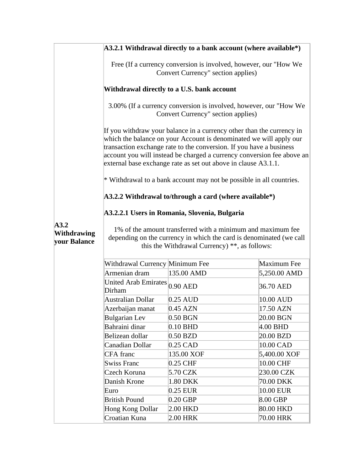|                                            |                                                                                                                                                                                                                                                                                                                                                                | $A3.2.1$ Withdrawal directly to a bank account (where available*)    |              |
|--------------------------------------------|----------------------------------------------------------------------------------------------------------------------------------------------------------------------------------------------------------------------------------------------------------------------------------------------------------------------------------------------------------------|----------------------------------------------------------------------|--------------|
|                                            | Free (If a currency conversion is involved, however, our "How We<br>Convert Currency" section applies)                                                                                                                                                                                                                                                         |                                                                      |              |
|                                            | Withdrawal directly to a U.S. bank account                                                                                                                                                                                                                                                                                                                     |                                                                      |              |
|                                            | 3.00% (If a currency conversion is involved, however, our "How We<br>Convert Currency" section applies)                                                                                                                                                                                                                                                        |                                                                      |              |
|                                            | If you withdraw your balance in a currency other than the currency in<br>which the balance on your Account is denominated we will apply our<br>transaction exchange rate to the conversion. If you have a business<br>account you will instead be charged a currency conversion fee above an<br>external base exchange rate as set out above in clause A3.1.1. |                                                                      |              |
|                                            |                                                                                                                                                                                                                                                                                                                                                                | * Withdrawal to a bank account may not be possible in all countries. |              |
|                                            |                                                                                                                                                                                                                                                                                                                                                                | $A3.2.2$ Withdrawal to/through a card (where available*)             |              |
|                                            |                                                                                                                                                                                                                                                                                                                                                                |                                                                      |              |
| A3.2<br><b>Withdrawing</b><br>your Balance | A3.2.2.1 Users in Romania, Slovenia, Bulgaria<br>1% of the amount transferred with a minimum and maximum fee<br>depending on the currency in which the card is denominated (we call<br>this the Withdrawal Currency) $**$ , as follows:                                                                                                                        |                                                                      |              |
|                                            | Withdrawal Currency Minimum Fee                                                                                                                                                                                                                                                                                                                                |                                                                      | Maximum Fee  |
|                                            | Armenian dram                                                                                                                                                                                                                                                                                                                                                  | 135.00 AMD                                                           | 5,250.00 AMD |
|                                            | United Arab Emirates 0.90 AED<br>Dirham                                                                                                                                                                                                                                                                                                                        |                                                                      | 36.70 AED    |
|                                            | <b>Australian Dollar</b>                                                                                                                                                                                                                                                                                                                                       | $0.25$ AUD                                                           | 10.00 AUD    |
|                                            | Azerbaijan manat                                                                                                                                                                                                                                                                                                                                               | $0.45$ AZN                                                           | 17.50 AZN    |
|                                            | <b>Bulgarian Lev</b>                                                                                                                                                                                                                                                                                                                                           | $0.50$ BGN                                                           | 20.00 BGN    |
|                                            | Bahraini dinar                                                                                                                                                                                                                                                                                                                                                 | $0.10$ BHD                                                           | $4.00$ BHD   |
|                                            | Belizean dollar                                                                                                                                                                                                                                                                                                                                                | $0.50$ BZD                                                           | 20.00 BZD    |
|                                            | Canadian Dollar                                                                                                                                                                                                                                                                                                                                                | 0.25 CAD                                                             | 10.00 CAD    |
|                                            | <b>CFA</b> franc                                                                                                                                                                                                                                                                                                                                               | 135.00 XOF                                                           | 5,400.00 XOF |
|                                            | <b>Swiss Franc</b>                                                                                                                                                                                                                                                                                                                                             | 0.25 CHF                                                             | 10.00 CHF    |
|                                            | Czech Koruna                                                                                                                                                                                                                                                                                                                                                   | 5.70 CZK                                                             | 230.00 CZK   |
|                                            | Danish Krone                                                                                                                                                                                                                                                                                                                                                   | 1.80 DKK                                                             | 70.00 DKK    |
|                                            | Euro                                                                                                                                                                                                                                                                                                                                                           | 0.25 EUR                                                             | 10.00 EUR    |
|                                            | <b>British Pound</b>                                                                                                                                                                                                                                                                                                                                           | $0.20$ GBP                                                           | $8.00$ GBP   |
|                                            | Hong Kong Dollar                                                                                                                                                                                                                                                                                                                                               | 2.00 HKD                                                             | 80.00 HKD    |
|                                            | Croatian Kuna                                                                                                                                                                                                                                                                                                                                                  | 2.00 HRK                                                             | 70.00 HRK    |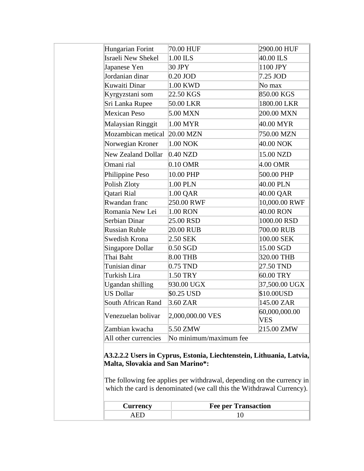| Hungarian Forint          |                        |                             |
|---------------------------|------------------------|-----------------------------|
|                           | 70.00 HUF              | 2900.00 HUF                 |
| <b>Israeli New Shekel</b> | 1.00 ILS               | 40.00 ILS                   |
| Japanese Yen              | 30 JPY                 | 1100 JPY                    |
| Jordanian dinar           | $0.20$ JOD             | 7.25 JOD                    |
| Kuwaiti Dinar             | 1.00 KWD               | No max                      |
| Kyrgyzstani som           | 22.50 KGS              | 850.00 KGS                  |
| Sri Lanka Rupee           | 50.00 LKR              | 1800.00 LKR                 |
| Mexican Peso              | 5.00 MXN               | 200.00 MXN                  |
| <b>Malaysian Ringgit</b>  | 1.00 MYR               | 40.00 MYR                   |
| Mozambican metical        | $20.00$ MZN            | 750.00 MZN                  |
| Norwegian Kroner          | 1.00 NOK               | 40.00 NOK                   |
| <b>New Zealand Dollar</b> | $0.40$ NZD             | 15.00 NZD                   |
| Omani rial                | 0.10 OMR               | 4.00 OMR                    |
| Philippine Peso           | 10.00 PHP              | 500.00 PHP                  |
| Polish Zloty              | 1.00 PLN               | 40.00 PLN                   |
| Qatari Rial               | 1.00 QAR               | 40.00 QAR                   |
| Rwandan franc             | 250.00 RWF             | 10,000.00 RWF               |
| Romania New Lei           | 1.00 RON               | 40.00 RON                   |
| Serbian Dinar             | 25.00 RSD              | 1000.00 RSD                 |
| Russian Ruble             | 20.00 RUB              | 700.00 RUB                  |
| Swedish Krona             | 2.50 SEK               | 100.00 SEK                  |
| <b>Singapore Dollar</b>   | $0.50$ SGD             | 15.00 SGD                   |
| Thai Baht                 | 8.00 THB               | 320.00 THB                  |
| Tunisian dinar            | 0.75 TND               | 27.50 TND                   |
| Turkish Lira              | 1.50 TRY               | 60.00 TRY                   |
| Ugandan shilling          | 930.00 UGX             | 37,500.00 UGX               |
| <b>US Dollar</b>          | \$0.25 USD             | \$10.00USD                  |
| South African Rand        | 3.60 ZAR               | 145.00 ZAR                  |
| Venezuelan bolivar        | 2,000,000.00 VES       | 60,000,000.00<br><b>VES</b> |
| Zambian kwacha            | 5.50 ZMW               | 215.00 ZMW                  |
| All other currencies      | No minimum/maximum fee |                             |

| <b>Currency</b> | <b>Fee per Transaction</b> |
|-----------------|----------------------------|
|                 |                            |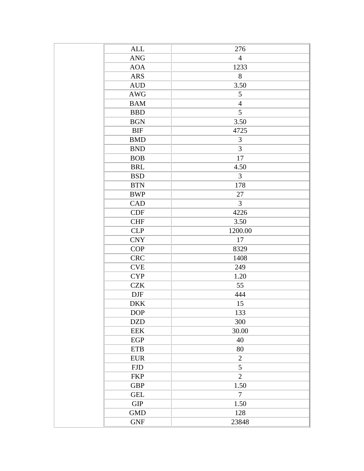| <b>ALL</b>                | 276                              |
|---------------------------|----------------------------------|
| <b>ANG</b>                | $\overline{4}$                   |
| <b>AOA</b>                | 1233                             |
| <b>ARS</b>                | 8                                |
| <b>AUD</b>                | 3.50                             |
| AWG                       | 5                                |
| <b>BAM</b>                | $\overline{4}$                   |
| <b>BBD</b>                | 5                                |
| <b>BGN</b>                | 3.50                             |
| <b>BIF</b>                | 4725                             |
| <b>BMD</b>                | 3                                |
| <b>BND</b>                | 3                                |
| <b>BOB</b>                | 17                               |
| <b>BRL</b>                | 4.50                             |
| <b>BSD</b>                | $\overline{3}$                   |
| <b>BTN</b>                | 178                              |
| <b>BWP</b>                | 27                               |
| CAD                       | 3                                |
| <b>CDF</b>                | 4226                             |
| <b>CHF</b>                | 3.50                             |
| <b>CLP</b>                | 1200.00                          |
| <b>CNY</b>                | 17                               |
| COP                       | 8329                             |
| <b>CRC</b>                | 1408                             |
| $\ensuremath{\text{CVE}}$ | 249                              |
| <b>CYP</b>                | 1.20                             |
| <b>CZK</b>                | 55                               |
| <b>DJF</b>                | 444                              |
| <b>DKK</b>                | 15                               |
| $\rm{DOP}$                | 133                              |
| <b>DZD</b>                | 300                              |
| <b>EEK</b>                | 30.00                            |
| EGP                       | 40                               |
| <b>ETB</b>                | 80                               |
| <b>EUR</b>                | $\overline{2}$                   |
|                           |                                  |
| <b>FJD</b>                | $\mathfrak{S}$<br>$\overline{2}$ |
| <b>FKP</b>                |                                  |
| <b>GBP</b>                | 1.50                             |
| <b>GEL</b>                | $\overline{7}$                   |
| <b>GIP</b>                | 1.50                             |
| <b>GMD</b>                | 128                              |
| <b>GNF</b>                | 23848                            |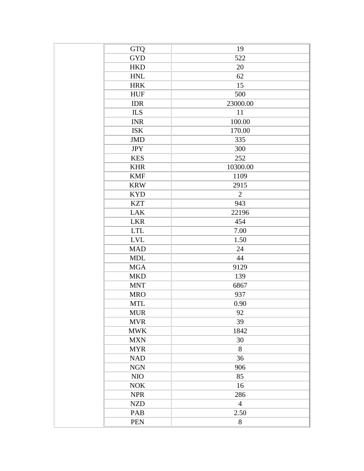| GTQ        | 19             |
|------------|----------------|
| <b>GYD</b> | 522            |
| <b>HKD</b> | 20             |
| <b>HNL</b> | 62             |
| <b>HRK</b> | 15             |
| <b>HUF</b> | 500            |
| <b>IDR</b> | 23000.00       |
| <b>ILS</b> | 11             |
| <b>INR</b> | 100.00         |
| <b>ISK</b> | 170.00         |
| <b>JMD</b> | 335            |
| <b>JPY</b> | 300            |
| <b>KES</b> | 252            |
| <b>KHR</b> | 10300.00       |
| <b>KMF</b> | 1109           |
| <b>KRW</b> | 2915           |
| <b>KYD</b> | $\overline{2}$ |
| <b>KZT</b> | 943            |
| <b>LAK</b> | 22196          |
| <b>LKR</b> | 454            |
| <b>LTL</b> | 7.00           |
| <b>LVL</b> | 1.50           |
| <b>MAD</b> | 24             |
| <b>MDL</b> | 44             |
| <b>MGA</b> | 9129           |
| <b>MKD</b> | 139            |
| <b>MNT</b> | 6867           |
| <b>MRO</b> | 937            |
| <b>MTL</b> | 0.90           |
| <b>MUR</b> | 92             |
| <b>MVR</b> | 39             |
| <b>MWK</b> | 1842           |
| <b>MXN</b> | 30             |
| <b>MYR</b> | 8              |
| <b>NAD</b> | 36             |
| <b>NGN</b> | 906            |
| $\rm NIO$  | 85             |
| <b>NOK</b> | 16             |
| <b>NPR</b> | 286            |
| <b>NZD</b> | $\overline{4}$ |
| PAB        | 2.50           |
| <b>PEN</b> | $8\,$          |
|            |                |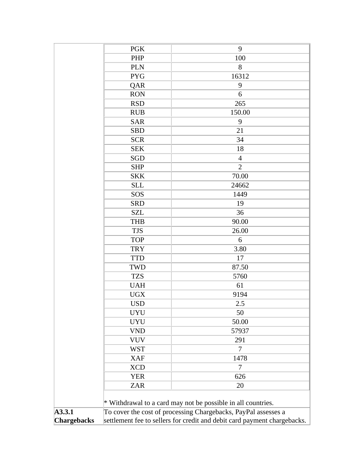|                    | <b>PGK</b>                                                               | 9                                                              |  |
|--------------------|--------------------------------------------------------------------------|----------------------------------------------------------------|--|
|                    | PHP                                                                      | 100                                                            |  |
|                    | <b>PLN</b>                                                               | 8                                                              |  |
|                    | <b>PYG</b>                                                               | 16312                                                          |  |
|                    | QAR                                                                      | 9                                                              |  |
|                    | <b>RON</b>                                                               | 6                                                              |  |
|                    | <b>RSD</b>                                                               | 265                                                            |  |
|                    | <b>RUB</b>                                                               | 150.00                                                         |  |
|                    | <b>SAR</b>                                                               | 9                                                              |  |
|                    | <b>SBD</b>                                                               | 21                                                             |  |
|                    | <b>SCR</b>                                                               | 34                                                             |  |
|                    | <b>SEK</b>                                                               | 18                                                             |  |
|                    | <b>SGD</b>                                                               | $\overline{4}$                                                 |  |
|                    | <b>SHP</b>                                                               | $\overline{2}$                                                 |  |
|                    | <b>SKK</b>                                                               | 70.00                                                          |  |
|                    | <b>SLL</b>                                                               | 24662                                                          |  |
|                    | SOS                                                                      | 1449                                                           |  |
|                    | <b>SRD</b>                                                               | 19                                                             |  |
|                    | <b>SZL</b>                                                               | 36                                                             |  |
|                    | <b>THB</b>                                                               | 90.00                                                          |  |
|                    | <b>TJS</b>                                                               | 26.00                                                          |  |
|                    | <b>TOP</b>                                                               | 6                                                              |  |
|                    | <b>TRY</b>                                                               | 3.80                                                           |  |
|                    | <b>TTD</b>                                                               | 17                                                             |  |
|                    | <b>TWD</b>                                                               | 87.50                                                          |  |
|                    | <b>TZS</b>                                                               | 5760                                                           |  |
|                    | <b>UAH</b>                                                               | 61                                                             |  |
|                    | <b>UGX</b>                                                               | 9194                                                           |  |
|                    | <b>USD</b>                                                               | 2.5                                                            |  |
|                    | <b>UYU</b>                                                               | 50                                                             |  |
|                    | <b>UYU</b>                                                               | 50.00                                                          |  |
|                    | <b>VND</b>                                                               | 57937                                                          |  |
|                    | <b>VUV</b>                                                               | 291                                                            |  |
|                    | <b>WST</b>                                                               | 7                                                              |  |
|                    | <b>XAF</b>                                                               | 1478                                                           |  |
|                    | <b>XCD</b>                                                               | 7                                                              |  |
|                    | <b>YER</b>                                                               | 626                                                            |  |
|                    | <b>ZAR</b>                                                               | 20                                                             |  |
|                    |                                                                          |                                                                |  |
|                    |                                                                          | * Withdrawal to a card may not be possible in all countries.   |  |
| A3.3.1             |                                                                          | To cover the cost of processing Chargebacks, PayPal assesses a |  |
| <b>Chargebacks</b> | settlement fee to sellers for credit and debit card payment chargebacks. |                                                                |  |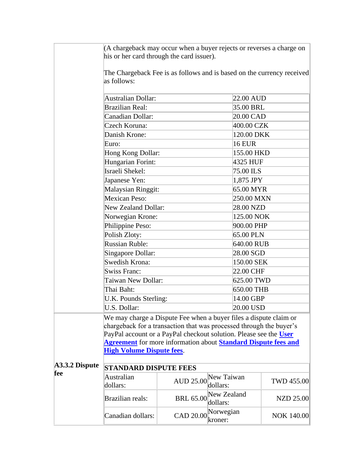| (A chargeback may occur when a buyer rejects or reverses a charge on |  |
|----------------------------------------------------------------------|--|
| his or her card through the card issuer).                            |  |

The Chargeback Fee is as follows and is based on the currency received as follows:

|                       | Australian Dollar:                                                           |                                             | 22.00 AUD     |                   |  |
|-----------------------|------------------------------------------------------------------------------|---------------------------------------------|---------------|-------------------|--|
|                       | <b>Brazilian Real:</b>                                                       |                                             | 35.00 BRL     |                   |  |
|                       | Canadian Dollar:                                                             |                                             | 20.00 CAD     |                   |  |
|                       | Czech Koruna:                                                                |                                             | 400.00 CZK    |                   |  |
|                       | Danish Krone:                                                                |                                             | 120.00 DKK    |                   |  |
|                       | Euro:                                                                        |                                             | <b>16 EUR</b> |                   |  |
|                       | Hong Kong Dollar:                                                            |                                             | 155.00 HKD    |                   |  |
|                       | Hungarian Forint:                                                            |                                             | 4325 HUF      |                   |  |
|                       | Israeli Shekel:                                                              |                                             | 75.00 ILS     |                   |  |
|                       | Japanese Yen:                                                                |                                             | 1,875 JPY     |                   |  |
|                       | <b>Malaysian Ringgit:</b>                                                    |                                             | 65.00 MYR     |                   |  |
|                       | Mexican Peso:                                                                |                                             | 250.00 MXN    |                   |  |
|                       | New Zealand Dollar:                                                          |                                             | 28.00 NZD     |                   |  |
|                       | Norwegian Krone:                                                             |                                             | 125.00 NOK    |                   |  |
|                       | Philippine Peso:                                                             |                                             | 900.00 PHP    |                   |  |
|                       | Polish Zloty:                                                                |                                             | 65.00 PLN     |                   |  |
|                       | <b>Russian Ruble:</b>                                                        |                                             | 640.00 RUB    |                   |  |
|                       | Singapore Dollar:                                                            |                                             | 28.00 SGD     |                   |  |
|                       | Swedish Krona:                                                               |                                             | 150.00 SEK    |                   |  |
|                       | <b>Swiss Franc:</b>                                                          |                                             | 22.00 CHF     |                   |  |
|                       | Taiwan New Dollar:                                                           |                                             | 625.00 TWD    |                   |  |
|                       | Thai Baht:                                                                   |                                             | 650.00 THB    |                   |  |
|                       | U.K. Pounds Sterling:                                                        |                                             | 14.00 GBP     |                   |  |
|                       | U.S. Dollar:                                                                 |                                             | 20.00 USD     |                   |  |
|                       | We may charge a Dispute Fee when a buyer files a dispute claim or            |                                             |               |                   |  |
|                       | chargeback for a transaction that was processed through the buyer's          |                                             |               |                   |  |
|                       | PayPal account or a PayPal checkout solution. Please see the User            |                                             |               |                   |  |
|                       | <b>Agreement</b> for more information about <b>Standard Dispute fees and</b> |                                             |               |                   |  |
|                       | <b>High Volume Dispute fees.</b>                                             |                                             |               |                   |  |
| A3.3.2 Dispute<br>fee | <b>STANDARD DISPUTE FEES</b>                                                 |                                             |               |                   |  |
|                       | Australian<br>dollars:                                                       | New Taiwan<br><b>AUD 25.00</b><br>dollars:  |               | <b>TWD 455.00</b> |  |
|                       | <b>Brazilian reals:</b>                                                      | New Zealand<br><b>BRL 65.00</b><br>dollars: |               | <b>NZD 25.00</b>  |  |
|                       | Canadian dollars:                                                            | Norwegian<br><b>CAD 20.00</b><br>kroner:    |               | <b>NOK 140.00</b> |  |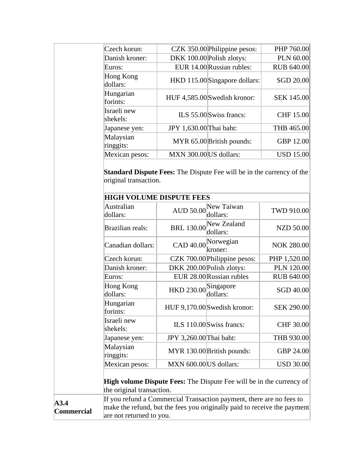| Czech korun:            |                         | CZK 350.00 Philippine pesos:  | PHP 760.00        |
|-------------------------|-------------------------|-------------------------------|-------------------|
| Danish kroner:          |                         | DKK 100.00 Polish zlotys:     | PLN 60.00         |
| Euros:                  |                         | EUR 14.00 Russian rubles:     | <b>RUB 640.00</b> |
| Hong Kong<br>dollars:   |                         | HKD 115.00 Singapore dollars: | SGD 20.00         |
| Hungarian<br>forints:   |                         | HUF 4,585.00 Swedish kronor:  | <b>SEK 145.00</b> |
| Israeli new<br>shekels: |                         | ILS 55.00 Swiss francs:       | CHF 15.00         |
| Japanese yen:           | JPY 1,630.00 Thai baht: |                               | THB 465.00        |
| Malaysian<br>ringgits:  |                         | MYR 65.00 British pounds:     | <b>GBP 12.00</b>  |
| Mexican pesos:          | MXN 300.00 US dollars:  |                               | <b>USD 15.00</b>  |

**Standard Dispute Fees:** The Dispute Fee will be in the currency of the original transaction.

|                           |                                                                                                                                                                              | <b>HIGH VOLUME DISPUTE FEES</b> |                                                                             |                   |
|---------------------------|------------------------------------------------------------------------------------------------------------------------------------------------------------------------------|---------------------------------|-----------------------------------------------------------------------------|-------------------|
|                           | Australian<br>dollars:                                                                                                                                                       | <b>AUD 50.00</b>                | New Taiwan<br>dollars:                                                      | <b>TWD 910.00</b> |
|                           | <b>Brazilian reals:</b>                                                                                                                                                      | <b>BRL 130.00</b>               | New Zealand<br>dollars:                                                     | <b>NZD 50.00</b>  |
|                           | Canadian dollars:                                                                                                                                                            | CAD 40.00                       | Norwegian<br>kroner:                                                        | <b>NOK 280.00</b> |
|                           | Czech korun:                                                                                                                                                                 |                                 | CZK 700.00 Philippine pesos:                                                | PHP 1,520.00      |
|                           | Danish kroner:                                                                                                                                                               |                                 | DKK 200.00 Polish zlotys:                                                   | <b>PLN 120.00</b> |
|                           | Euros:                                                                                                                                                                       |                                 | EUR 28.00 Russian rubles                                                    | <b>RUB 640.00</b> |
|                           | Hong Kong<br>Singapore<br>HKD 230.00<br>dollars:<br>dollars:                                                                                                                 |                                 |                                                                             | SGD 40.00         |
|                           | Hungarian<br>forints:                                                                                                                                                        |                                 | HUF 9,170.00 Swedish kronor:                                                | <b>SEK 290.00</b> |
|                           | Israeli new<br>shekels:                                                                                                                                                      | ILS 110.00 Swiss francs:        |                                                                             | CHF 30.00         |
|                           | Japanese yen:                                                                                                                                                                | JPY 3,260.00 Thai baht:         |                                                                             | THB 930.00        |
|                           | Malaysian<br>ringgits:                                                                                                                                                       |                                 | MYR 130.00 British pounds:                                                  | <b>GBP 24.00</b>  |
|                           | Mexican pesos:                                                                                                                                                               | MXN 600.00 US dollars:          |                                                                             | <b>USD 30.00</b>  |
|                           | the original transaction.                                                                                                                                                    |                                 | <b>High volume Dispute Fees:</b> The Dispute Fee will be in the currency of |                   |
| A3.4<br><b>Commercial</b> | If you refund a Commercial Transaction payment, there are no fees to<br>make the refund, but the fees you originally paid to receive the payment<br>are not returned to you. |                                 |                                                                             |                   |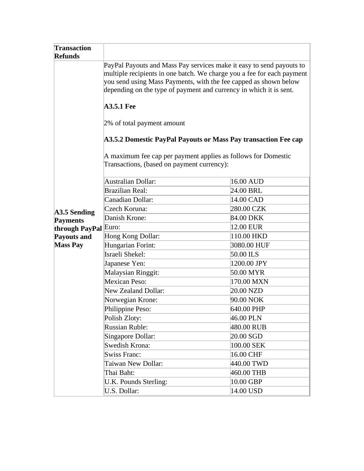| <b>Transaction</b><br><b>Refunds</b> |                                                                                                                                                                                                                                                                                          |             |  |  |
|--------------------------------------|------------------------------------------------------------------------------------------------------------------------------------------------------------------------------------------------------------------------------------------------------------------------------------------|-------------|--|--|
|                                      | PayPal Payouts and Mass Pay services make it easy to send payouts to<br>multiple recipients in one batch. We charge you a fee for each payment<br>you send using Mass Payments, with the fee capped as shown below<br>depending on the type of payment and currency in which it is sent. |             |  |  |
|                                      | <b>A3.5.1 Fee</b>                                                                                                                                                                                                                                                                        |             |  |  |
|                                      | 2% of total payment amount                                                                                                                                                                                                                                                               |             |  |  |
|                                      | A3.5.2 Domestic PayPal Payouts or Mass Pay transaction Fee cap                                                                                                                                                                                                                           |             |  |  |
|                                      | A maximum fee cap per payment applies as follows for Domestic<br>Transactions, (based on payment currency):                                                                                                                                                                              |             |  |  |
|                                      | <b>Australian Dollar:</b>                                                                                                                                                                                                                                                                | 16.00 AUD   |  |  |
|                                      | <b>Brazilian Real:</b>                                                                                                                                                                                                                                                                   | 24.00 BRL   |  |  |
|                                      | Canadian Dollar:                                                                                                                                                                                                                                                                         | 14.00 CAD   |  |  |
| A3.5 Sending                         | Czech Koruna:                                                                                                                                                                                                                                                                            | 280.00 CZK  |  |  |
| <b>Payments</b>                      | Danish Krone:                                                                                                                                                                                                                                                                            | 84.00 DKK   |  |  |
| through PayPal                       | Euro:                                                                                                                                                                                                                                                                                    | 12.00 EUR   |  |  |
| <b>Payouts and</b>                   | Hong Kong Dollar:                                                                                                                                                                                                                                                                        | 110.00 HKD  |  |  |
| <b>Mass Pay</b>                      | Hungarian Forint:                                                                                                                                                                                                                                                                        | 3080.00 HUF |  |  |
|                                      | Israeli Shekel:                                                                                                                                                                                                                                                                          | 50.00 ILS   |  |  |
|                                      | Japanese Yen:                                                                                                                                                                                                                                                                            | 1200.00 JPY |  |  |
|                                      | Malaysian Ringgit:                                                                                                                                                                                                                                                                       | 50.00 MYR   |  |  |
|                                      | Mexican Peso:                                                                                                                                                                                                                                                                            | 170.00 MXN  |  |  |
|                                      | <b>New Zealand Dollar:</b>                                                                                                                                                                                                                                                               | 20.00 NZD   |  |  |
|                                      | Norwegian Krone:                                                                                                                                                                                                                                                                         | 90.00 NOK   |  |  |
|                                      | Philippine Peso:                                                                                                                                                                                                                                                                         | 640.00 PHP  |  |  |
|                                      | Polish Zloty:                                                                                                                                                                                                                                                                            | 46.00 PLN   |  |  |
|                                      | <b>Russian Ruble:</b>                                                                                                                                                                                                                                                                    | 480.00 RUB  |  |  |
|                                      | Singapore Dollar:                                                                                                                                                                                                                                                                        | 20.00 SGD   |  |  |
|                                      | Swedish Krona:                                                                                                                                                                                                                                                                           | 100.00 SEK  |  |  |
|                                      | <b>Swiss Franc:</b>                                                                                                                                                                                                                                                                      | 16.00 CHF   |  |  |
|                                      | Taiwan New Dollar:                                                                                                                                                                                                                                                                       | 440.00 TWD  |  |  |
|                                      | Thai Baht:                                                                                                                                                                                                                                                                               | 460.00 THB  |  |  |
|                                      | U.K. Pounds Sterling:                                                                                                                                                                                                                                                                    | 10.00 GBP   |  |  |
|                                      | U.S. Dollar:                                                                                                                                                                                                                                                                             | 14.00 USD   |  |  |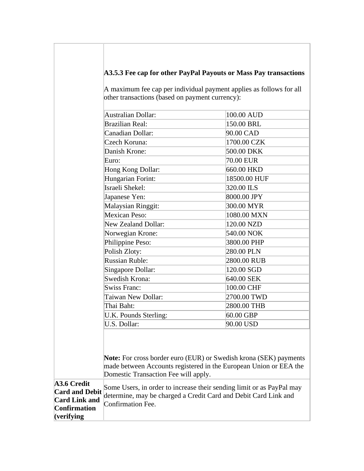# **A3.5.3 Fee cap for other PayPal Payouts or Mass Pay transactions**

A maximum fee cap per individual payment applies as follows for all other transactions (based on payment currency):

|                                                                                                    | <b>Australian Dollar:</b>                                                                                                                                                             | 100.00 AUD   |  |
|----------------------------------------------------------------------------------------------------|---------------------------------------------------------------------------------------------------------------------------------------------------------------------------------------|--------------|--|
|                                                                                                    | <b>Brazilian Real:</b>                                                                                                                                                                | 150.00 BRL   |  |
|                                                                                                    | Canadian Dollar:                                                                                                                                                                      | 90.00 CAD    |  |
|                                                                                                    | Czech Koruna:                                                                                                                                                                         | 1700.00 CZK  |  |
|                                                                                                    | Danish Krone:                                                                                                                                                                         | 500.00 DKK   |  |
|                                                                                                    | Euro:                                                                                                                                                                                 | 70.00 EUR    |  |
|                                                                                                    | Hong Kong Dollar:                                                                                                                                                                     | 660.00 HKD   |  |
|                                                                                                    | Hungarian Forint:                                                                                                                                                                     | 18500.00 HUF |  |
|                                                                                                    | Israeli Shekel:                                                                                                                                                                       | 320.00 ILS   |  |
|                                                                                                    | Japanese Yen:                                                                                                                                                                         | 8000.00 JPY  |  |
|                                                                                                    | Malaysian Ringgit:                                                                                                                                                                    | 300.00 MYR   |  |
|                                                                                                    | Mexican Peso:                                                                                                                                                                         | 1080.00 MXN  |  |
|                                                                                                    | <b>New Zealand Dollar:</b>                                                                                                                                                            | 120.00 NZD   |  |
|                                                                                                    | Norwegian Krone:                                                                                                                                                                      | 540.00 NOK   |  |
|                                                                                                    | Philippine Peso:                                                                                                                                                                      | 3800.00 PHP  |  |
|                                                                                                    | Polish Zloty:                                                                                                                                                                         | 280.00 PLN   |  |
|                                                                                                    | <b>Russian Ruble:</b>                                                                                                                                                                 | 2800.00 RUB  |  |
|                                                                                                    | Singapore Dollar:                                                                                                                                                                     | 120.00 SGD   |  |
|                                                                                                    | Swedish Krona:                                                                                                                                                                        | 640.00 SEK   |  |
|                                                                                                    | <b>Swiss Franc:</b>                                                                                                                                                                   | 100.00 CHF   |  |
|                                                                                                    | Taiwan New Dollar:                                                                                                                                                                    | 2700.00 TWD  |  |
|                                                                                                    | Thai Baht:                                                                                                                                                                            | 2800.00 THB  |  |
|                                                                                                    | U.K. Pounds Sterling:                                                                                                                                                                 | 60.00 GBP    |  |
|                                                                                                    | U.S. Dollar:                                                                                                                                                                          | 90.00 USD    |  |
|                                                                                                    | <b>Note:</b> For cross border euro (EUR) or Swedish krona (SEK) payments<br>made between Accounts registered in the European Union or EEA the<br>Domestic Transaction Fee will apply. |              |  |
| A3.6 Credit<br><b>Card and Debit</b><br><b>Card Link and</b><br><b>Confirmation</b><br>(verifying) | Some Users, in order to increase their sending limit or as PayPal may<br>determine, may be charged a Credit Card and Debit Card Link and<br>Confirmation Fee.                         |              |  |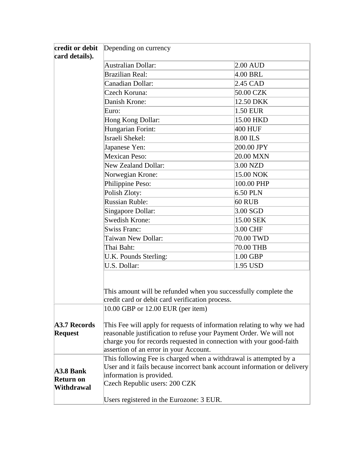| credit or debit<br>card details).                                                                                                                                                                                                                                                                     | Depending on currency                                                                                                                                                                                                                                         |            |  |  |
|-------------------------------------------------------------------------------------------------------------------------------------------------------------------------------------------------------------------------------------------------------------------------------------------------------|---------------------------------------------------------------------------------------------------------------------------------------------------------------------------------------------------------------------------------------------------------------|------------|--|--|
|                                                                                                                                                                                                                                                                                                       | <b>Australian Dollar:</b>                                                                                                                                                                                                                                     | $2.00$ AUD |  |  |
|                                                                                                                                                                                                                                                                                                       | <b>Brazilian Real:</b>                                                                                                                                                                                                                                        | 4.00 BRL   |  |  |
|                                                                                                                                                                                                                                                                                                       | Canadian Dollar:                                                                                                                                                                                                                                              | 2.45 CAD   |  |  |
|                                                                                                                                                                                                                                                                                                       | Czech Koruna:                                                                                                                                                                                                                                                 | 50.00 CZK  |  |  |
|                                                                                                                                                                                                                                                                                                       | Danish Krone:                                                                                                                                                                                                                                                 | 12.50 DKK  |  |  |
|                                                                                                                                                                                                                                                                                                       | Euro:                                                                                                                                                                                                                                                         | 1.50 EUR   |  |  |
|                                                                                                                                                                                                                                                                                                       | Hong Kong Dollar:                                                                                                                                                                                                                                             | 15.00 HKD  |  |  |
|                                                                                                                                                                                                                                                                                                       | Hungarian Forint:                                                                                                                                                                                                                                             | 400 HUF    |  |  |
|                                                                                                                                                                                                                                                                                                       | Israeli Shekel:                                                                                                                                                                                                                                               | 8.00 ILS   |  |  |
|                                                                                                                                                                                                                                                                                                       | Japanese Yen:                                                                                                                                                                                                                                                 | 200.00 JPY |  |  |
|                                                                                                                                                                                                                                                                                                       | <b>Mexican Peso:</b>                                                                                                                                                                                                                                          | 20.00 MXN  |  |  |
|                                                                                                                                                                                                                                                                                                       | <b>New Zealand Dollar:</b>                                                                                                                                                                                                                                    | $3.00$ NZD |  |  |
|                                                                                                                                                                                                                                                                                                       | Norwegian Krone:                                                                                                                                                                                                                                              | 15.00 NOK  |  |  |
|                                                                                                                                                                                                                                                                                                       | Philippine Peso:                                                                                                                                                                                                                                              | 100.00 PHP |  |  |
|                                                                                                                                                                                                                                                                                                       | Polish Zloty:                                                                                                                                                                                                                                                 | 6.50 PLN   |  |  |
|                                                                                                                                                                                                                                                                                                       | <b>Russian Ruble:</b>                                                                                                                                                                                                                                         | 60 RUB     |  |  |
|                                                                                                                                                                                                                                                                                                       | Singapore Dollar:                                                                                                                                                                                                                                             | $3.00$ SGD |  |  |
|                                                                                                                                                                                                                                                                                                       | <b>Swedish Krone:</b>                                                                                                                                                                                                                                         | 15.00 SEK  |  |  |
|                                                                                                                                                                                                                                                                                                       | <b>Swiss Franc:</b>                                                                                                                                                                                                                                           | 3.00 CHF   |  |  |
|                                                                                                                                                                                                                                                                                                       | Taiwan New Dollar:                                                                                                                                                                                                                                            | 70.00 TWD  |  |  |
|                                                                                                                                                                                                                                                                                                       | Thai Baht:                                                                                                                                                                                                                                                    | 70.00 THB  |  |  |
|                                                                                                                                                                                                                                                                                                       | U.K. Pounds Sterling:                                                                                                                                                                                                                                         | 1.00 GBP   |  |  |
|                                                                                                                                                                                                                                                                                                       | U.S. Dollar:                                                                                                                                                                                                                                                  | 1.95 USD   |  |  |
|                                                                                                                                                                                                                                                                                                       | This amount will be refunded when you successfully complete the<br>credit card or debit card verification process.                                                                                                                                            |            |  |  |
|                                                                                                                                                                                                                                                                                                       | 10.00 GBP or 12.00 EUR (per item)                                                                                                                                                                                                                             |            |  |  |
| A3.7 Records<br><b>Request</b>                                                                                                                                                                                                                                                                        | This Fee will apply for requests of information relating to why we had<br>reasonable justification to refuse your Payment Order. We will not<br>charge you for records requested in connection with your good-faith<br>assertion of an error in your Account. |            |  |  |
| This following Fee is charged when a withdrawal is attempted by a<br>User and it fails because incorrect bank account information or delivery<br>A3.8 Bank<br>information is provided.<br><b>Return on</b><br>Czech Republic users: 200 CZK<br>Withdrawal<br>Users registered in the Eurozone: 3 EUR. |                                                                                                                                                                                                                                                               |            |  |  |
|                                                                                                                                                                                                                                                                                                       |                                                                                                                                                                                                                                                               |            |  |  |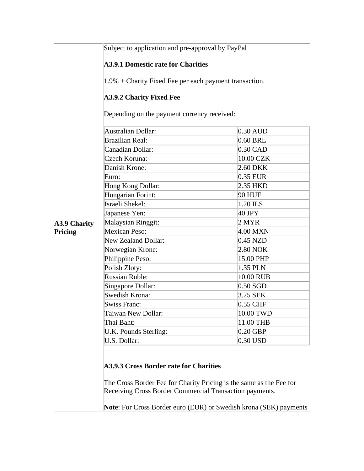|                     | Subject to application and pre-approval by PayPal                                                                                                                        |            |  |  |
|---------------------|--------------------------------------------------------------------------------------------------------------------------------------------------------------------------|------------|--|--|
|                     | <b>A3.9.1 Domestic rate for Charities</b>                                                                                                                                |            |  |  |
|                     | 1.9% + Charity Fixed Fee per each payment transaction.                                                                                                                   |            |  |  |
|                     | <b>A3.9.2 Charity Fixed Fee</b>                                                                                                                                          |            |  |  |
|                     | Depending on the payment currency received:                                                                                                                              |            |  |  |
|                     | $0.30$ AUD                                                                                                                                                               |            |  |  |
|                     | <b>Brazilian Real:</b>                                                                                                                                                   | 0.60 BRL   |  |  |
|                     | Canadian Dollar:                                                                                                                                                         | $0.30$ CAD |  |  |
|                     | Czech Koruna:                                                                                                                                                            | 10.00 CZK  |  |  |
|                     | Danish Krone:                                                                                                                                                            | 2.60 DKK   |  |  |
|                     | Euro:                                                                                                                                                                    | 0.35 EUR   |  |  |
|                     | Hong Kong Dollar:                                                                                                                                                        | 2.35 HKD   |  |  |
|                     | Hungarian Forint:                                                                                                                                                        | 90 HUF     |  |  |
|                     | Israeli Shekel:<br>1.20 ILS                                                                                                                                              |            |  |  |
|                     | 40 JPY<br>Japanese Yen:                                                                                                                                                  |            |  |  |
| <b>A3.9 Charity</b> | Malaysian Ringgit:                                                                                                                                                       | 2 MYR      |  |  |
| Pricing             | Mexican Peso:                                                                                                                                                            | 4.00 MXN   |  |  |
|                     | <b>New Zealand Dollar:</b>                                                                                                                                               | $0.45$ NZD |  |  |
|                     | Norwegian Krone:                                                                                                                                                         | 2.80 NOK   |  |  |
|                     | Philippine Peso:                                                                                                                                                         | 15.00 PHP  |  |  |
|                     | Polish Zloty:                                                                                                                                                            | 1.35 PLN   |  |  |
|                     | <b>Russian Ruble:</b>                                                                                                                                                    | 10.00 RUB  |  |  |
|                     | Singapore Dollar:                                                                                                                                                        | $0.50$ SGD |  |  |
|                     | Swedish Krona:                                                                                                                                                           | 3.25 SEK   |  |  |
|                     | <b>Swiss Franc:</b>                                                                                                                                                      | $0.55$ CHF |  |  |
|                     | Taiwan New Dollar:                                                                                                                                                       | 10.00 TWD  |  |  |
|                     | Thai Baht:                                                                                                                                                               | 11.00 THB  |  |  |
|                     | U.K. Pounds Sterling:                                                                                                                                                    | $0.20$ GBP |  |  |
|                     | U.S. Dollar:                                                                                                                                                             | $0.30$ USD |  |  |
|                     | A3.9.3 Cross Border rate for Charities<br>The Cross Border Fee for Charity Pricing is the same as the Fee for<br>Receiving Cross Border Commercial Transaction payments. |            |  |  |
|                     | Note: For Cross Border euro (EUR) or Swedish krona (SEK) payments                                                                                                        |            |  |  |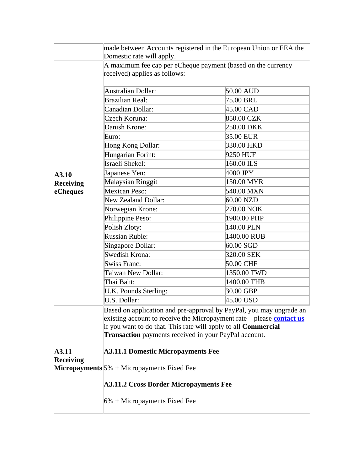|                                                                   | made between Accounts registered in the European Union or EEA the<br>Domestic rate will apply. |             |  |
|-------------------------------------------------------------------|------------------------------------------------------------------------------------------------|-------------|--|
|                                                                   | A maximum fee cap per eCheque payment (based on the currency<br>received) applies as follows:  |             |  |
|                                                                   | <b>Australian Dollar:</b>                                                                      | 50.00 AUD   |  |
|                                                                   | <b>Brazilian Real:</b>                                                                         | 75.00 BRL   |  |
|                                                                   | Canadian Dollar:                                                                               | 45.00 CAD   |  |
|                                                                   | Czech Koruna:                                                                                  | 850.00 CZK  |  |
|                                                                   | Danish Krone:                                                                                  | 250.00 DKK  |  |
|                                                                   | Euro:                                                                                          | 35.00 EUR   |  |
|                                                                   | Hong Kong Dollar:                                                                              | 330.00 HKD  |  |
|                                                                   | Hungarian Forint:                                                                              | 9250 HUF    |  |
|                                                                   | Israeli Shekel:                                                                                | 160.00 ILS  |  |
| A3.10                                                             | Japanese Yen:                                                                                  | 4000 JPY    |  |
| Receiving                                                         | <b>Malaysian Ringgit</b>                                                                       | 150.00 MYR  |  |
| eCheques                                                          | Mexican Peso:                                                                                  | 540.00 MXN  |  |
|                                                                   | New Zealand Dollar:                                                                            | 60.00 NZD   |  |
|                                                                   | Norwegian Krone:                                                                               | 270.00 NOK  |  |
|                                                                   | Philippine Peso:                                                                               | 1900.00 PHP |  |
|                                                                   | Polish Zloty:                                                                                  | 140.00 PLN  |  |
|                                                                   | <b>Russian Ruble:</b>                                                                          | 1400.00 RUB |  |
|                                                                   | Singapore Dollar:                                                                              | $60.00$ SGD |  |
|                                                                   | Swedish Krona:                                                                                 | 320.00 SEK  |  |
|                                                                   | <b>Swiss Franc:</b>                                                                            | 50.00 CHF   |  |
|                                                                   | Taiwan New Dollar:                                                                             | 1350.00 TWD |  |
|                                                                   | Thai Baht:                                                                                     | 1400.00 THB |  |
|                                                                   | U.K. Pounds Sterling:                                                                          | 30.00 GBP   |  |
|                                                                   | U.S. Dollar:                                                                                   | 45.00 USD   |  |
|                                                                   | Based on application and pre-approval by PayPal, you may upgrade an                            |             |  |
|                                                                   | existing account to receive the Micropayment rate – please contact us                          |             |  |
|                                                                   | if you want to do that. This rate will apply to all Commercial                                 |             |  |
|                                                                   | <b>Transaction</b> payments received in your PayPal account.                                   |             |  |
| A3.11                                                             | <b>A3.11.1 Domestic Micropayments Fee</b>                                                      |             |  |
| <b>Receiving</b><br>Micropayments $5\%$ + Micropayments Fixed Fee |                                                                                                |             |  |
|                                                                   | <b>A3.11.2 Cross Border Micropayments Fee</b>                                                  |             |  |
|                                                                   | $6\%$ + Micropayments Fixed Fee                                                                |             |  |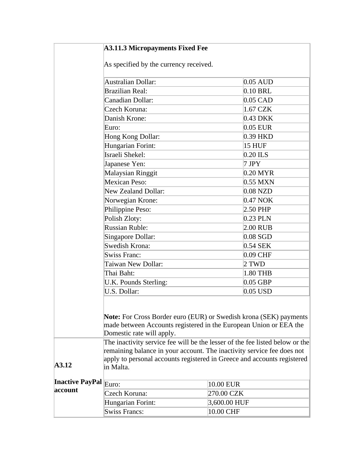<span id="page-70-0"></span>

|                        | <b>A3.11.3 Micropayments Fixed Fee</b>                                                                                                        |               |  |
|------------------------|-----------------------------------------------------------------------------------------------------------------------------------------------|---------------|--|
|                        | As specified by the currency received.                                                                                                        |               |  |
|                        | Australian Dollar:                                                                                                                            | $0.05$ AUD    |  |
|                        |                                                                                                                                               |               |  |
|                        | <b>Brazilian Real:</b>                                                                                                                        | $0.10$ BRL    |  |
|                        | Canadian Dollar:                                                                                                                              | $0.05$ CAD    |  |
|                        | Czech Koruna:                                                                                                                                 | 1.67 CZK      |  |
|                        | Danish Krone:                                                                                                                                 | 0.43 DKK      |  |
|                        | Euro:                                                                                                                                         | 0.05 EUR      |  |
|                        | Hong Kong Dollar:                                                                                                                             | 0.39 HKD      |  |
|                        | Hungarian Forint:                                                                                                                             | <b>15 HUF</b> |  |
|                        | Israeli Shekel:                                                                                                                               | $0.20$ ILS    |  |
|                        | Japanese Yen:                                                                                                                                 | $7$ JPY       |  |
|                        | <b>Malaysian Ringgit</b>                                                                                                                      | $0.20$ MYR    |  |
|                        | Mexican Peso:                                                                                                                                 | 0.55 MXN      |  |
|                        | <b>New Zealand Dollar:</b>                                                                                                                    | $0.08$ NZD    |  |
|                        | Norwegian Krone:                                                                                                                              | 0.47 NOK      |  |
|                        | Philippine Peso:                                                                                                                              | 2.50 PHP      |  |
|                        | Polish Zloty:                                                                                                                                 | $0.23$ PLN    |  |
|                        | <b>Russian Ruble:</b>                                                                                                                         | $2.00$ RUB    |  |
|                        | Singapore Dollar:                                                                                                                             | $0.08$ SGD    |  |
|                        | Swedish Krona:                                                                                                                                | 0.54 SEK      |  |
|                        | <b>Swiss Franc:</b>                                                                                                                           | 0.09 CHF      |  |
|                        | Taiwan New Dollar:                                                                                                                            | 2 TWD         |  |
|                        | Thai Baht:                                                                                                                                    | 1.80 THB      |  |
|                        | U.K. Pounds Sterling:                                                                                                                         | $0.05$ GBP    |  |
|                        | U.S. Dollar:                                                                                                                                  | $0.05$ USD    |  |
|                        |                                                                                                                                               |               |  |
|                        | <b>Note:</b> For Cross Border euro (EUR) or Swedish krona (SEK) payments<br>made between Accounts registered in the European Union or EEA the |               |  |
|                        |                                                                                                                                               |               |  |
|                        |                                                                                                                                               |               |  |
|                        | Domestic rate will apply.                                                                                                                     |               |  |
|                        | The inactivity service fee will be the lesser of the fee listed below or the                                                                  |               |  |
|                        | remaining balance in your account. The inactivity service fee does not                                                                        |               |  |
| <b>A3.12</b>           | apply to personal accounts registered in Greece and accounts registered                                                                       |               |  |
|                        | in Malta.                                                                                                                                     |               |  |
| <b>Inactive PayPal</b> |                                                                                                                                               |               |  |
| account                | Euro:                                                                                                                                         | 10.00 EUR     |  |
|                        | Czech Koruna:                                                                                                                                 | 270.00 CZK    |  |
|                        | Hungarian Forint:                                                                                                                             | 3,600.00 HUF  |  |
|                        | <b>Swiss Francs:</b>                                                                                                                          | 10.00 CHF     |  |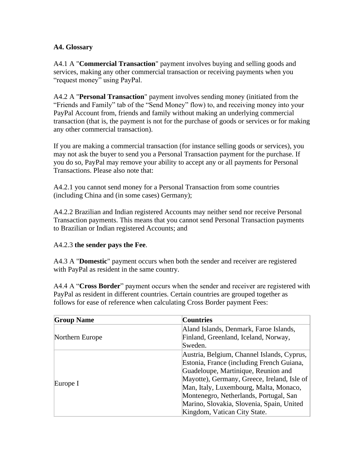#### **A4. Glossary**

A4.1 A "**Commercial Transaction**" payment involves buying and selling goods and services, making any other commercial transaction or receiving payments when you "request money" using PayPal.

A4.2 A "**Personal Transaction**" payment involves sending money (initiated from the "Friends and Family" tab of the "Send Money" flow) to, and receiving money into your PayPal Account from, friends and family without making an underlying commercial transaction (that is, the payment is not for the purchase of goods or services or for making any other commercial transaction).

If you are making a commercial transaction (for instance selling goods or services), you may not ask the buyer to send you a Personal Transaction payment for the purchase. If you do so, PayPal may remove your ability to accept any or all payments for Personal Transactions. Please also note that:

A4.2.1 you cannot send money for a Personal Transaction from some countries (including China and (in some cases) Germany);

A4.2.2 Brazilian and Indian registered Accounts may neither send nor receive Personal Transaction payments. This means that you cannot send Personal Transaction payments to Brazilian or Indian registered Accounts; and

#### A4.2.3 **the sender pays the Fee**.

A4.3 A "**Domestic**" payment occurs when both the sender and receiver are registered with PayPal as resident in the same country.

A4.4 A "**Cross Border**" payment occurs when the sender and receiver are registered with PayPal as resident in different countries. Certain countries are grouped together as follows for ease of reference when calculating Cross Border payment Fees:

| <b>Group Name</b> | <b>Countries</b>                            |
|-------------------|---------------------------------------------|
|                   | Aland Islands, Denmark, Faroe Islands,      |
| Northern Europe   | Finland, Greenland, Iceland, Norway,        |
|                   | Sweden.                                     |
|                   | Austria, Belgium, Channel Islands, Cyprus,  |
|                   | Estonia, France (including French Guiana,   |
|                   | Guadeloupe, Martinique, Reunion and         |
| Europe I          | Mayotte), Germany, Greece, Ireland, Isle of |
|                   | Man, Italy, Luxembourg, Malta, Monaco,      |
|                   | Montenegro, Netherlands, Portugal, San      |
|                   | Marino, Slovakia, Slovenia, Spain, United   |
|                   | Kingdom, Vatican City State.                |